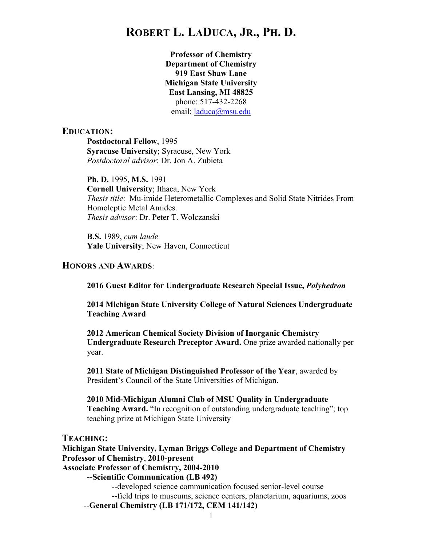**Professor of Chemistry Department of Chemistry 919 East Shaw Lane Michigan State University East Lansing, MI 48825** phone: 517-432-2268 email: laduca@msu.edu

#### **EDUCATION:**

**Postdoctoral Fellow**, 1995 **Syracuse University**; Syracuse, New York *Postdoctoral advisor*: Dr. Jon A. Zubieta

**Ph. D.** 1995, **M.S.** 1991 **Cornell University**; Ithaca, New York *Thesis title*: Mu-imide Heterometallic Complexes and Solid State Nitrides From Homoleptic Metal Amides. *Thesis advisor*: Dr. Peter T. Wolczanski

**B.S.** 1989, *cum laude* **Yale University**; New Haven, Connecticut

#### **HONORS AND AWARDS**:

**2016 Guest Editor for Undergraduate Research Special Issue,** *Polyhedron*

**2014 Michigan State University College of Natural Sciences Undergraduate Teaching Award**

**2012 American Chemical Society Division of Inorganic Chemistry Undergraduate Research Preceptor Award.** One prize awarded nationally per year.

**2011 State of Michigan Distinguished Professor of the Year**, awarded by President's Council of the State Universities of Michigan.

**2010 Mid-Michigan Alumni Club of MSU Quality in Undergraduate Teaching Award.** "In recognition of outstanding undergraduate teaching"; top teaching prize at Michigan State University

#### **TEACHING:**

**Michigan State University, Lyman Briggs College and Department of Chemistry Professor of Chemistry**, **2010-present**

**Associate Professor of Chemistry, 2004-2010**

**--Scientific Communication (LB 492)**

--developed science communication focused senior-level course --field trips to museums, science centers, planetarium, aquariums, zoos --**General Chemistry (LB 171/172, CEM 141/142)**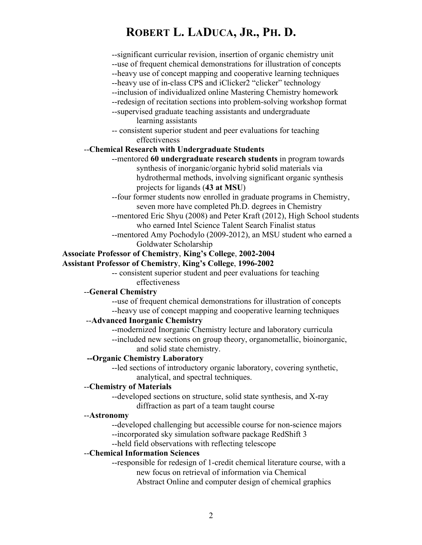| --significant curricular revision, insertion of organic chemistry unit<br>--use of frequent chemical demonstrations for illustration of concepts |
|--------------------------------------------------------------------------------------------------------------------------------------------------|
| --heavy use of concept mapping and cooperative learning techniques                                                                               |
| --heavy use of in-class CPS and iClicker2 "clicker" technology<br>--inclusion of individualized online Mastering Chemistry homework              |
| --redesign of recitation sections into problem-solving workshop format                                                                           |
| --supervised graduate teaching assistants and undergraduate                                                                                      |
| learning assistants                                                                                                                              |
| -- consistent superior student and peer evaluations for teaching                                                                                 |
| effectiveness                                                                                                                                    |
| --Chemical Research with Undergraduate Students                                                                                                  |
| --mentored 60 undergraduate research students in program towards                                                                                 |
| synthesis of inorganic/organic hybrid solid materials via                                                                                        |
| hydrothermal methods, involving significant organic synthesis                                                                                    |
| projects for ligands (43 at MSU)                                                                                                                 |
| -- four former students now enrolled in graduate programs in Chemistry,                                                                          |
| seven more have completed Ph.D. degrees in Chemistry                                                                                             |
| --mentored Eric Shyu (2008) and Peter Kraft (2012), High School students                                                                         |
| who earned Intel Science Talent Search Finalist status                                                                                           |
| --mentored Amy Pochodylo (2009-2012), an MSU student who earned a                                                                                |
| Goldwater Scholarship                                                                                                                            |
| <b>Associate Professor of Chemistry, King's College, 2002-2004</b>                                                                               |
| <b>Assistant Professor of Chemistry, King's College, 1996-2002</b>                                                                               |
| -- consistent superior student and peer evaluations for teaching                                                                                 |
| effectiveness                                                                                                                                    |
| --General Chemistry                                                                                                                              |
| --use of frequent chemical demonstrations for illustration of concepts                                                                           |
| --heavy use of concept mapping and cooperative learning techniques                                                                               |
| --Advanced Inorganic Chemistry                                                                                                                   |
| --modernized Inorganic Chemistry lecture and laboratory curricula                                                                                |
| --included new sections on group theory, organometallic, bioinorganic,                                                                           |
| and solid state chemistry.                                                                                                                       |
| -- Organic Chemistry Laboratory                                                                                                                  |
| --led sections of introductory organic laboratory, covering synthetic,                                                                           |
| analytical, and spectral techniques.                                                                                                             |

#### --**Chemistry of Materials**

--developed sections on structure, solid state synthesis, and X-ray diffraction as part of a team taught course

#### --**Astronomy**

--developed challenging but accessible course for non-science majors --incorporated sky simulation software package RedShift 3

--held field observations with reflecting telescope

### --**Chemical Information Sciences**

--responsible for redesign of 1-credit chemical literature course, with a new focus on retrieval of information via Chemical Abstract Online and computer design of chemical graphics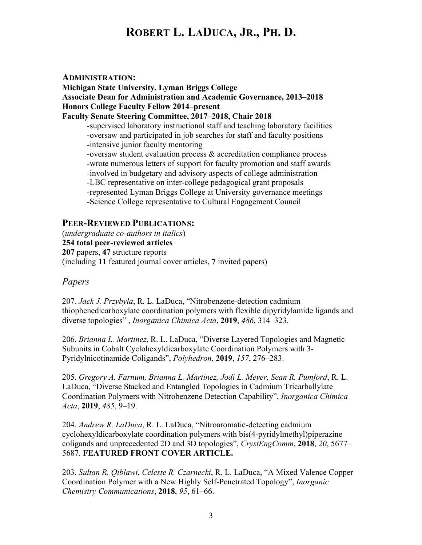#### **ADMINISTRATION:**

**Michigan State University, Lyman Briggs College Associate Dean for Administration and Academic Governance, 2013–2018 Honors College Faculty Fellow 2014–present Faculty Senate Steering Committee, 2017–2018, Chair 2018** -supervised laboratory instructional staff and teaching laboratory facilities -oversaw and participated in job searches for staff and faculty positions -intensive junior faculty mentoring -oversaw student evaluation process & accreditation compliance process -wrote numerous letters of support for faculty promotion and staff awards -involved in budgetary and advisory aspects of college administration -LBC representative on inter-college pedagogical grant proposals -represented Lyman Briggs College at University governance meetings -Science College representative to Cultural Engagement Council

### **PEER-REVIEWED PUBLICATIONS:**

(*undergraduate co-authors in italics*) **254 total peer-reviewed articles 207** papers, **47** structure reports (including **11** featured journal cover articles, **7** invited papers)

### *Papers*

207*. Jack J. Przybyla*, R. L. LaDuca, "Nitrobenzene-detection cadmium thiophenedicarboxylate coordination polymers with flexible dipyridylamide ligands and diverse topologies" , *Inorganica Chimica Acta*, **2019**, *486*, 314–323.

206. *Brianna L. Martinez*, R. L. LaDuca, "Diverse Layered Topologies and Magnetic Subunits in Cobalt Cyclohexyldicarboxylate Coordination Polymers with 3- Pyridylnicotinamide Coligands", *Polyhedron*, **2019**, *157*, 276–283.

205. *Gregory A. Farnum, Brianna L. Martinez, Jodi L. Meyer, Sean R. Pumford*, R. L. LaDuca, "Diverse Stacked and Entangled Topologies in Cadmium Tricarballylate Coordination Polymers with Nitrobenzene Detection Capability", *Inorganica Chimica Acta*, **2019**, *485*, 9–19.

204. *Andrew R. LaDuca*, R. L. LaDuca, "Nitroaromatic-detecting cadmium cyclohexyldicarboxylate coordination polymers with bis(4-pyridylmethyl)piperazine coligands and unprecedented 2D and 3D topologies", *CrystEngComm*, **2018**, *20*, 5677– 5687. **FEATURED FRONT COVER ARTICLE.**

203. *Sultan R. Qiblawi*, *Celeste R. Czarnecki*, R. L. LaDuca, "A Mixed Valence Copper Coordination Polymer with a New Highly Self-Penetrated Topology", *Inorganic Chemistry Communications*, **2018**, *95*, 61–66.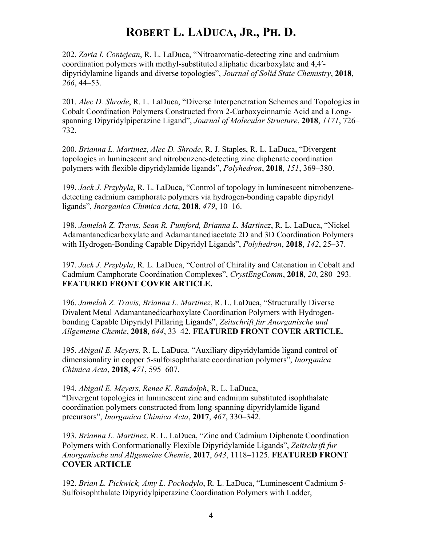202. *Zaria I. Contejean*, R. L. LaDuca, "Nitroaromatic-detecting zinc and cadmium coordination polymers with methyl-substituted aliphatic dicarboxylate and 4,4′ dipyridylamine ligands and diverse topologies", *Journal of Solid State Chemistry*, **2018**, *266*, 44–53.

201. *Alec D. Shrode*, R. L. LaDuca, "Diverse Interpenetration Schemes and Topologies in Cobalt Coordination Polymers Constructed from 2-Carboxycinnamic Acid and a Longspanning Dipyridylpiperazine Ligand", *Journal of Molecular Structure*, **2018**, *1171*, 726– 732.

200. *Brianna L. Martinez*, *Alec D. Shrode*, R. J. Staples, R. L. LaDuca, "Divergent topologies in luminescent and nitrobenzene-detecting zinc diphenate coordination polymers with flexible dipyridylamide ligands", *Polyhedron*, **2018**, *151*, 369–380.

199. *Jack J. Przybyla*, R. L. LaDuca, "Control of topology in luminescent nitrobenzenedetecting cadmium camphorate polymers via hydrogen-bonding capable dipyridyl ligands", *Inorganica Chimica Acta*, **2018**, *479*, 10–16.

198. *Jamelah Z. Travis, Sean R. Pumford, Brianna L. Martinez*, R. L. LaDuca, "Nickel Adamantanedicarboxylate and Adamantanediacetate 2D and 3D Coordination Polymers with Hydrogen-Bonding Capable Dipyridyl Ligands", *Polyhedron*, **2018**, *142*, 25–37.

197. *Jack J. Przybyla*, R. L. LaDuca, "Control of Chirality and Catenation in Cobalt and Cadmium Camphorate Coordination Complexes", *CrystEngComm*, **2018**, *20*, 280–293. **FEATURED FRONT COVER ARTICLE.**

196. *Jamelah Z. Travis, Brianna L. Martinez*, R. L. LaDuca, "Structurally Diverse Divalent Metal Adamantanedicarboxylate Coordination Polymers with Hydrogenbonding Capable Dipyridyl Pillaring Ligands", *Zeitschrift fur Anorganische und Allgemeine Chemie*, **2018**, *644*, 33–42. **FEATURED FRONT COVER ARTICLE.**

195. *Abigail E. Meyers,* R. L. LaDuca. "Auxiliary dipyridylamide ligand control of dimensionality in copper 5-sulfoisophthalate coordination polymers", *Inorganica Chimica Acta*, **2018**, *471*, 595–607.

194. *Abigail E. Meyers, Renee K. Randolph*, R. L. LaDuca, "Divergent topologies in luminescent zinc and cadmium substituted isophthalate coordination polymers constructed from long-spanning dipyridylamide ligand precursors", *Inorganica Chimica Acta*, **2017**, *467*, 330–342.

193. *Brianna L. Martinez*, R. L. LaDuca, "Zinc and Cadmium Diphenate Coordination Polymers with Conformationally Flexible Dipyridylamide Ligands", *Zeitschrift fur Anorganische und Allgemeine Chemie*, **2017**, *643*, 1118–1125. **FEATURED FRONT COVER ARTICLE**

192. *Brian L. Pickwick, Amy L. Pochodylo*, R. L. LaDuca, "Luminescent Cadmium 5- Sulfoisophthalate Dipyridylpiperazine Coordination Polymers with Ladder,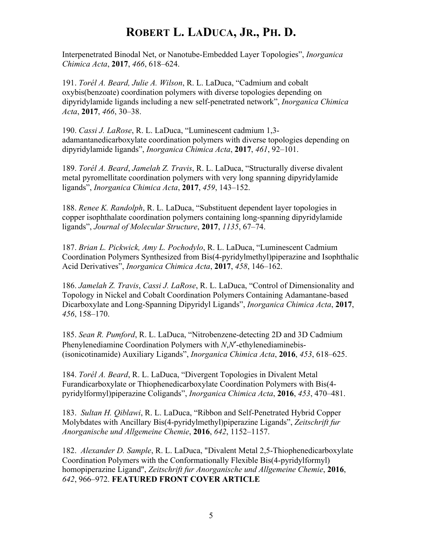Interpenetrated Binodal Net, or Nanotube-Embedded Layer Topologies", *Inorganica Chimica Acta*, **2017**, *466*, 618–624.

191. *Torél A. Beard, Julie A. Wilson*, R. L. LaDuca, "Cadmium and cobalt oxybis(benzoate) coordination polymers with diverse topologies depending on dipyridylamide ligands including a new self-penetrated network", *Inorganica Chimica Acta*, **2017**, *466*, 30–38.

190. *Cassi J. LaRose*, R. L. LaDuca, "Luminescent cadmium 1,3 adamantanedicarboxylate coordination polymers with diverse topologies depending on dipyridylamide ligands", *Inorganica Chimica Acta*, **2017**, *461*, 92–101.

189. *Torél A. Beard*, *Jamelah Z. Travis*, R. L. LaDuca, "Structurally diverse divalent metal pyromellitate coordination polymers with very long spanning dipyridylamide ligands", *Inorganica Chimica Acta*, **2017**, *459*, 143–152.

188. *Renee K. Randolph*, R. L. LaDuca, "Substituent dependent layer topologies in copper isophthalate coordination polymers containing long-spanning dipyridylamide ligands", *Journal of Molecular Structure*, **2017**, *1135*, 67–74.

187. *Brian L. Pickwick, Amy L. Pochodylo*, R. L. LaDuca, "Luminescent Cadmium Coordination Polymers Synthesized from Bis(4-pyridylmethyl)piperazine and Isophthalic Acid Derivatives", *Inorganica Chimica Acta*, **2017**, *458*, 146–162.

186. *Jamelah Z. Travis*, *Cassi J. LaRose*, R. L. LaDuca, "Control of Dimensionality and Topology in Nickel and Cobalt Coordination Polymers Containing Adamantane-based Dicarboxylate and Long-Spanning Dipyridyl Ligands", *Inorganica Chimica Acta*, **2017**, *456*, 158–170.

185. *Sean R. Pumford*, R. L. LaDuca, "Nitrobenzene-detecting 2D and 3D Cadmium Phenylenediamine Coordination Polymers with *N*,*N*′-ethylenediaminebis- (isonicotinamide) Auxiliary Ligands", *Inorganica Chimica Acta*, **2016**, *453*, 618–625.

184. *Torél A. Beard*, R. L. LaDuca, "Divergent Topologies in Divalent Metal Furandicarboxylate or Thiophenedicarboxylate Coordination Polymers with Bis(4 pyridylformyl)piperazine Coligands", *Inorganica Chimica Acta*, **2016**, *453*, 470–481.

183. *Sultan H. Qiblawi*, R. L. LaDuca, "Ribbon and Self-Penetrated Hybrid Copper Molybdates with Ancillary Bis(4-pyridylmethyl)piperazine Ligands", *Zeitschrift fur Anorganische und Allgemeine Chemie*, **2016**, *642*, 1152–1157.

182. *Alexander D. Sample*, R. L. LaDuca, "Divalent Metal 2,5-Thiophenedicarboxylate Coordination Polymers with the Conformationally Flexible Bis(4-pyridylformyl) homopiperazine Ligand", *Zeitschrift fur Anorganische und Allgemeine Chemie*, **2016**, *642*, 966–972. **FEATURED FRONT COVER ARTICLE**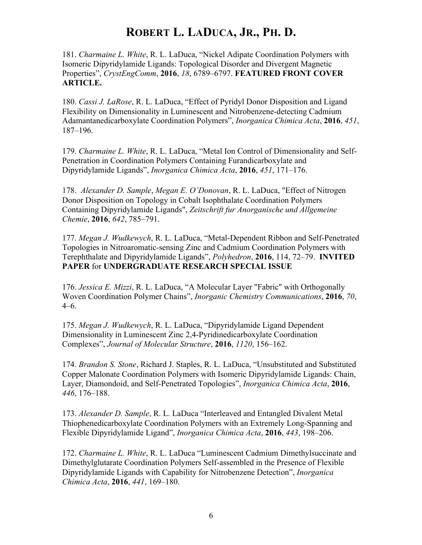181. *Charmaine L. White*, R. L. LaDuca, "Nickel Adipate Coordination Polymers with Isomeric Dipyridylamide Ligands: Topological Disorder and Divergent Magnetic Properties", *CrystEngComm*, **2016**, *18*, 6789–6797. **FEATURED FRONT COVER ARTICLE.**

180. *Cassi J. LaRose*, R. L. LaDuca, "Effect of Pyridyl Donor Disposition and Ligand Flexibility on Dimensionality in Luminescent and Nitrobenzene-detecting Cadmium Adamantanedicarboxylate Coordination Polymers", *Inorganica Chimica Acta*, **2016**, *451*, 187–196.

179. *Charmaine L. White*, R. L. LaDuca, "Metal Ion Control of Dimensionality and Self-Penetration in Coordination Polymers Containing Furandicarboxylate and Dipyridylamide Ligands", *Inorganica Chimica Acta*, **2016**, *451*, 171–176.

178. *Alexander D. Sample*, *Megan E. O'Donovan*, R. L. LaDuca, "Effect of Nitrogen Donor Disposition on Topology in Cobalt Isophthalate Coordination Polymers Containing Dipyridylamide Ligands", *Zeitschrift fur Anorganische und Allgemeine Chemie*, **2016**, *642*, 785–791.

177. *Megan J. Wudkewych*, R. L. LaDuca, "Metal-Dependent Ribbon and Self-Penetrated Topologies in Nitroaromatic-sensing Zinc and Cadmium Coordination Polymers with Terephthalate and Dipyridylamide Ligands", *Polyhedron*, **2016**, 114, 72–79. **INVITED PAPER** for **UNDERGRADUATE RESEARCH SPECIAL ISSUE**

176. *Jessica E. Mizzi*, R. L. LaDuca, "A Molecular Layer "Fabric" with Orthogonally Woven Coordination Polymer Chains", *Inorganic Chemistry Communications*, **2016**, *70*, 4–6.

175. *Megan J. Wudkewych*, R. L. LaDuca, "Dipyridylamide Ligand Dependent Dimensionality in Luminescent Zinc 2,4-Pyridinedicarboxylate Coordination Complexes", *Journal of Molecular Structure*, **2016**, *1120*, 156–162.

174. *Brandon S. Stone*, Richard J. Staples, R. L. LaDuca, "Unsubstituted and Substituted Copper Malonate Coordination Polymers with Isomeric Dipyridylamide Ligands: Chain, Layer, Diamondoid, and Self-Penetrated Topologies", *Inorganica Chimica Acta*, **2016**, *446*, 176–188.

173. *Alexander D. Sample*, R. L. LaDuca "Interleaved and Entangled Divalent Metal Thiophenedicarboxylate Coordination Polymers with an Extremely Long-Spanning and Flexible Dipyridylamide Ligand", *Inorganica Chimica Acta*, **2016**, *443*, 198–206.

172. *Charmaine L. White*, R. L. LaDuca "Luminescent Cadmium Dimethylsuccinate and Dimethylglutarate Coordination Polymers Self-assembled in the Presence of Flexible Dipyridylamide Ligands with Capability for Nitrobenzene Detection", *Inorganica Chimica Acta*, **2016**, *441*, 169–180.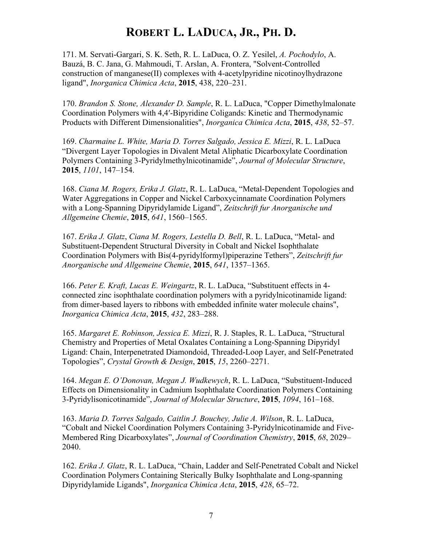171. M. Servati-Gargari, S. K. Seth, R. L. LaDuca, O. Z. Yesilel, *A. Pochodylo*, A. Bauzá, B. C. Jana, G. Mahmoudi, T. Arslan, A. Frontera, "Solvent-Controlled construction of manganese(II) complexes with 4-acetylpyridine nicotinoylhydrazone ligand", *Inorganica Chimica Acta*, **2015**, 438, 220–231.

170. *Brandon S. Stone, Alexander D. Sample*, R. L. LaDuca, "Copper Dimethylmalonate Coordination Polymers with 4,4′-Bipyridine Coligands: Kinetic and Thermodynamic Products with Different Dimensionalities", *Inorganica Chimica Acta*, **2015**, *438*, 52–57.

169. *Charmaine L. White, Maria D. Torres Salgado, Jessica E. Mizzi*, R. L. LaDuca "Divergent Layer Topologies in Divalent Metal Aliphatic Dicarboxylate Coordination Polymers Containing 3-Pyridylmethylnicotinamide", *Journal of Molecular Structure*, **2015**, *1101*, 147–154.

168. *Ciana M. Rogers, Erika J. Glatz*, R. L. LaDuca, "Metal-Dependent Topologies and Water Aggregations in Copper and Nickel Carboxycinnamate Coordination Polymers with a Long-Spanning Dipyridylamide Ligand", *Zeitschrift fur Anorganische und Allgemeine Chemie*, **2015**, *641*, 1560–1565.

167. *Erika J. Glatz*, *Ciana M. Rogers, Lestella D. Bell*, R. L. LaDuca, "Metal- and Substituent-Dependent Structural Diversity in Cobalt and Nickel Isophthalate Coordination Polymers with Bis(4-pyridylformyl)piperazine Tethers", *Zeitschrift fur Anorganische und Allgemeine Chemie*, **2015**, *641*, 1357–1365.

166. *Peter E. Kraft, Lucas E. Weingartz*, R. L. LaDuca, "Substituent effects in 4 connected zinc isophthalate coordination polymers with a pyridylnicotinamide ligand: from dimer-based layers to ribbons with embedded infinite water molecule chains", *Inorganica Chimica Acta*, **2015**, *432*, 283–288.

165. *Margaret E. Robinson, Jessica E. Mizzi*, R. J. Staples, R. L. LaDuca, "Structural Chemistry and Properties of Metal Oxalates Containing a Long-Spanning Dipyridyl Ligand: Chain, Interpenetrated Diamondoid, Threaded-Loop Layer, and Self-Penetrated Topologies", *Crystal Growth & Design*, **2015**, *15*, 2260–2271.

164. *Megan E. O'Donovan, Megan J. Wudkewych*, R. L. LaDuca, "Substituent-Induced Effects on Dimensionality in Cadmium Isophthalate Coordination Polymers Containing 3-Pyridylisonicotinamide", *Journal of Molecular Structure*, **2015**, *1094*, 161–168.

163. *Maria D. Torres Salgado, Caitlin J. Bouchey, Julie A. Wilson*, R. L. LaDuca, "Cobalt and Nickel Coordination Polymers Containing 3-Pyridylnicotinamide and Five-Membered Ring Dicarboxylates", *Journal of Coordination Chemistry*, **2015**, *68*, 2029– 2040.

162. *Erika J. Glatz*, R. L. LaDuca, "Chain, Ladder and Self-Penetrated Cobalt and Nickel Coordination Polymers Containing Sterically Bulky Isophthalate and Long-spanning Dipyridylamide Ligands", *Inorganica Chimica Acta*, **2015**, *428*, 65–72.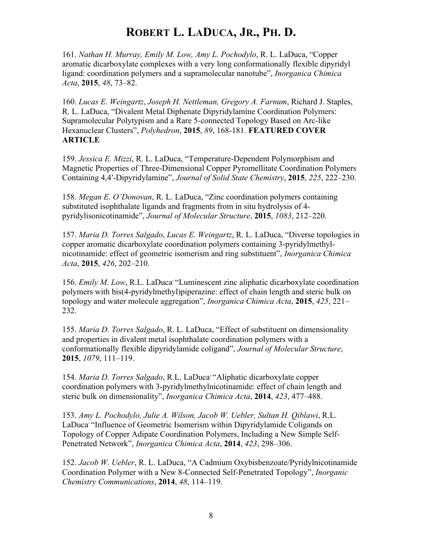161. *Nathan H. Murray, Emily M. Low, Amy L. Pochodylo*, R. L. LaDuca, "Copper aromatic dicarboxylate complexes with a very long conformationally flexible dipyridyl ligand: coordination polymers and a supramolecular nanotube", *Inorganica Chimica Acta*, **2015**, *48*, 73–82.

160. *Lucas E. Weingartz*, *Joseph H. Nettleman, Gregory A. Farnum*, Richard J. Staples, R. L. LaDuca, "Divalent Metal Diphenate Dipyridylamine Coordination Polymers: Supramolecular Polytypism and a Rare 5-connected Topology Based on Arc-like Hexanuclear Clusters", *Polyhedron*, **2015**, *89*, 168-181. **FEATURED COVER ARTICLE**

159. *Jessica E. Mizzi*, R. L. LaDuca, "Temperature-Dependent Polymorphism and Magnetic Properties of Three-Dimensional Copper Pyromellitate Coordination Polymers Containing 4,4′-Dipyridylamine", *Journal of Solid State Chemistry*, **2015**, *225*, 222–230.

158. *Megan E. O'Donovan*, R. L. LaDuca, "Zinc coordination polymers containing substituted isophthalate ligands and fragments from in situ hydrolysis of 4 pyridylisonicotinamide", *Journal of Molecular Structure*, **2015**, *1083*, 212–220.

157. *Maria D. Torres Salgado*, *Lucas E. Weingartz*, R. L. LaDuca, "Diverse topologies in copper aromatic dicarboxylate coordination polymers containing 3-pyridylmethylnicotinamide: effect of geometric isomerism and ring substituent", *Inorganica Chimica Acta*, **2015**, *426*, 202–210.

156. *Emily M. Low*, R.L. LaDuca, "Luminescent zinc aliphatic dicarboxylate coordination polymers with bis(4-pyridylmethyl)piperazine: effect of chain length and steric bulk on topology and water molecule aggregation", *Inorganica Chimica Acta*, **2015**, *425*, 221– 232.

155. *Maria D. Torres Salgado*, R. L. LaDuca, "Effect of substituent on dimensionality and properties in divalent metal isophthalate coordination polymers with a conformationally flexible dipyridylamide coligand", *Journal of Molecular Structure*, **2015**, *1079*, 111–119.

154. *Maria D. Torres Salgado*, R.L. LaDuca, "Aliphatic dicarboxylate copper coordination polymers with 3-pyridylmethylnicotinamide: effect of chain length and steric bulk on dimensionality", *Inorganica Chimica Acta*, **2014**, *423*, 477–488.

153. *Amy L. Pochodylo, Julie A. Wilson, Jacob W. Uebler, Sultan H. Qiblawi*, R.L. LaDuca<sup>, "</sup>Influence of Geometric Isomerism within Dipyridylamide Coligands on Topology of Copper Adipate Coordination Polymers, Including a New Simple Self-Penetrated Network", *Inorganica Chimica Acta*, **2014**, *423*, 298–306.

152. *Jacob W. Uebler*, R. L. LaDuca, "A Cadmium Oxybisbenzoate/Pyridylnicotinamide Coordination Polymer with a New 8-Connected Self-Penetrated Topology", *Inorganic Chemistry Communications*, **2014**, *48*, 114–119.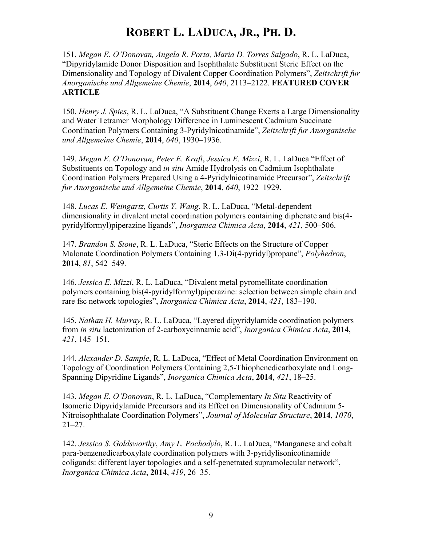151. *Megan E. O'Donovan, Angela R. Porta, Maria D. Torres Salgado*, R. L. LaDuca, "Dipyridylamide Donor Disposition and Isophthalate Substituent Steric Effect on the Dimensionality and Topology of Divalent Copper Coordination Polymers", *Zeitschrift fur Anorganische und Allgemeine Chemie*, **2014**, *640*, 2113–2122. **FEATURED COVER ARTICLE**

150. *Henry J. Spies*, R. L. LaDuca, "A Substituent Change Exerts a Large Dimensionality and Water Tetramer Morphology Difference in Luminescent Cadmium Succinate Coordination Polymers Containing 3-Pyridylnicotinamide", *Zeitschrift fur Anorganische und Allgemeine Chemie*, **2014**, *640*, 1930–1936.

149. *Megan E. O'Donovan*, *Peter E. Kraft*, *Jessica E. Mizzi*, R. L. LaDuca "Effect of Substituents on Topology and *in situ* Amide Hydrolysis on Cadmium Isophthalate Coordination Polymers Prepared Using a 4-Pyridylnicotinamide Precursor", *Zeitschrift fur Anorganische und Allgemeine Chemie*, **2014**, *640*, 1922–1929.

148. *Lucas E. Weingartz, Curtis Y. Wang*, R. L. LaDuca, "Metal-dependent dimensionality in divalent metal coordination polymers containing diphenate and bis(4 pyridylformyl)piperazine ligands", *Inorganica Chimica Acta*, **2014**, *421*, 500–506.

147. *Brandon S. Stone*, R. L. LaDuca, "Steric Effects on the Structure of Copper Malonate Coordination Polymers Containing 1,3-Di(4-pyridyl)propane", *Polyhedron*, **2014**, *81*, 542–549.

146. *Jessica E. Mizzi*, R. L. LaDuca, "Divalent metal pyromellitate coordination polymers containing bis(4-pyridylformyl)piperazine: selection between simple chain and rare fsc network topologies", *Inorganica Chimica Acta*, **2014**, *421*, 183–190.

145. *Nathan H. Murray*, R. L. LaDuca, "Layered dipyridylamide coordination polymers from *in situ* lactonization of 2-carboxycinnamic acid", *Inorganica Chimica Acta*, **2014**, *421*, 145–151.

144. *Alexander D. Sample*, R. L. LaDuca, "Effect of Metal Coordination Environment on Topology of Coordination Polymers Containing 2,5-Thiophenedicarboxylate and Long-Spanning Dipyridine Ligands", *Inorganica Chimica Acta*, **2014**, *421*, 18–25.

143. *Megan E. O'Donovan*, R. L. LaDuca, "Complementary *In Situ* Reactivity of Isomeric Dipyridylamide Precursors and its Effect on Dimensionality of Cadmium 5- Nitroisophthalate Coordination Polymers", *Journal of Molecular Structure*, **2014**, *1070*,  $21 - 27$ .

142. *Jessica S. Goldsworthy*, *Amy L. Pochodylo*, R. L. LaDuca, "Manganese and cobalt para-benzenedicarboxylate coordination polymers with 3-pyridylisonicotinamide coligands: different layer topologies and a self-penetrated supramolecular network", *Inorganica Chimica Acta*, **2014**, *419*, 26–35.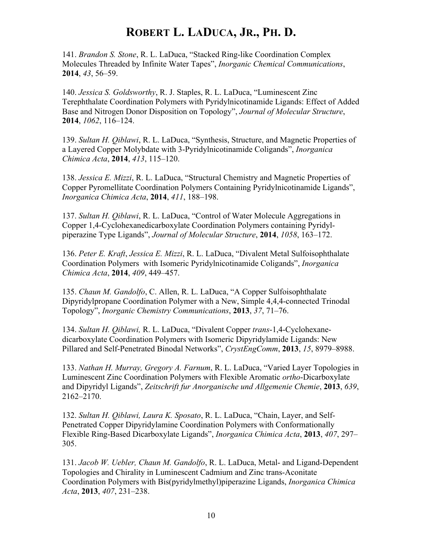141. *Brandon S. Stone*, R. L. LaDuca, "Stacked Ring-like Coordination Complex Molecules Threaded by Infinite Water Tapes", *Inorganic Chemical Communications*, **2014**, *43*, 56–59.

140. *Jessica S. Goldsworthy*, R. J. Staples, R. L. LaDuca, "Luminescent Zinc Terephthalate Coordination Polymers with Pyridylnicotinamide Ligands: Effect of Added Base and Nitrogen Donor Disposition on Topology", *Journal of Molecular Structure*, **2014**, *1062*, 116–124.

139. *Sultan H. Qiblawi*, R. L. LaDuca, "Synthesis, Structure, and Magnetic Properties of a Layered Copper Molybdate with 3-Pyridylnicotinamide Coligands", *Inorganica Chimica Acta*, **2014**, *413*, 115–120.

138. *Jessica E. Mizzi*, R. L. LaDuca, "Structural Chemistry and Magnetic Properties of Copper Pyromellitate Coordination Polymers Containing Pyridylnicotinamide Ligands", *Inorganica Chimica Acta*, **2014**, *411*, 188–198.

137. *Sultan H. Qiblawi*, R. L. LaDuca, "Control of Water Molecule Aggregations in Copper 1,4-Cyclohexanedicarboxylate Coordination Polymers containing Pyridylpiperazine Type Ligands", *Journal of Molecular Structure*, **2014**, *1058*, 163–172.

136. *Peter E. Kraft*, *Jessica E. Mizzi*, R. L. LaDuca, "Divalent Metal Sulfoisophthalate Coordination Polymers with Isomeric Pyridylnicotinamide Coligands", *Inorganica Chimica Acta*, **2014**, *409*, 449–457.

135. *Chaun M. Gandolfo*, C. Allen, R. L. LaDuca, "A Copper Sulfoisophthalate Dipyridylpropane Coordination Polymer with a New, Simple 4,4,4-connected Trinodal Topology", *Inorganic Chemistry Communications*, **2013**, *37*, 71–76.

134. *Sultan H. Qiblawi,* R. L. LaDuca, "Divalent Copper *trans*-1,4-Cyclohexanedicarboxylate Coordination Polymers with Isomeric Dipyridylamide Ligands: New Pillared and Self-Penetrated Binodal Networks", *CrystEngComm*, **2013**, *15*, 8979–8988.

133. *Nathan H. Murray, Gregory A. Farnum*, R. L. LaDuca, "Varied Layer Topologies in Luminescent Zinc Coordination Polymers with Flexible Aromatic *ortho*-Dicarboxylate and Dipyridyl Ligands", *Zeitschrift fur Anorganische und Allgemenie Chemie*, **2013**, *639*, 2162–2170.

132. *Sultan H. Qiblawi, Laura K. Sposato*, R. L. LaDuca, "Chain, Layer, and Self-Penetrated Copper Dipyridylamine Coordination Polymers with Conformationally Flexible Ring-Based Dicarboxylate Ligands", *Inorganica Chimica Acta*, **2013**, *407*, 297– 305.

131. *Jacob W. Uebler, Chaun M. Gandolfo*, R. L. LaDuca, Metal- and Ligand-Dependent Topologies and Chirality in Luminescent Cadmium and Zinc trans-Aconitate Coordination Polymers with Bis(pyridylmethyl)piperazine Ligands, *Inorganica Chimica Acta*, **2013**, *407*, 231–238.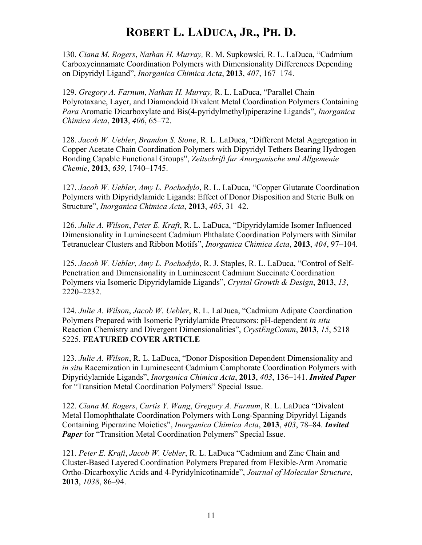130. *Ciana M. Rogers*, *Nathan H. Murray,* R. M. Supkowski*,* R. L. LaDuca, "Cadmium Carboxycinnamate Coordination Polymers with Dimensionality Differences Depending on Dipyridyl Ligand", *Inorganica Chimica Acta*, **2013**, *407*, 167–174.

129. *Gregory A. Farnum*, *Nathan H. Murray,* R. L. LaDuca, "Parallel Chain Polyrotaxane, Layer, and Diamondoid Divalent Metal Coordination Polymers Containing *Para* Aromatic Dicarboxylate and Bis(4-pyridylmethyl)piperazine Ligands", *Inorganica Chimica Acta*, **2013**, *406*, 65–72.

128. *Jacob W. Uebler*, *Brandon S. Stone*, R. L. LaDuca, "Different Metal Aggregation in Copper Acetate Chain Coordination Polymers with Dipyridyl Tethers Bearing Hydrogen Bonding Capable Functional Groups", *Zeitschrift fur Anorganische und Allgemenie Chemie*, **2013**, *639*, 1740–1745.

127. *Jacob W. Uebler*, *Amy L. Pochodylo*, R. L. LaDuca, "Copper Glutarate Coordination Polymers with Dipyridylamide Ligands: Effect of Donor Disposition and Steric Bulk on Structure", *Inorganica Chimica Acta*, **2013**, *405*, 31–42.

126. *Julie A. Wilson*, *Peter E. Kraft*, R. L. LaDuca, "Dipyridylamide Isomer Influenced Dimensionality in Luminescent Cadmium Phthalate Coordination Polymers with Similar Tetranuclear Clusters and Ribbon Motifs", *Inorganica Chimica Acta*, **2013**, *404*, 97–104.

125. *Jacob W. Uebler*, *Amy L. Pochodylo*, R. J. Staples, R. L. LaDuca, "Control of Self-Penetration and Dimensionality in Luminescent Cadmium Succinate Coordination Polymers via Isomeric Dipyridylamide Ligands", *Crystal Growth & Design*, **2013**, *13*, 2220–2232.

124. *Julie A. Wilson*, *Jacob W. Uebler*, R. L. LaDuca, "Cadmium Adipate Coordination Polymers Prepared with Isomeric Pyridylamide Precursors: pH-dependent *in situ* Reaction Chemistry and Divergent Dimensionalities", *CrystEngComm*, **2013**, *15*, 5218– 5225. **FEATURED COVER ARTICLE**

123. *Julie A. Wilson*, R. L. LaDuca, "Donor Disposition Dependent Dimensionality and *in situ* Racemization in Luminescent Cadmium Camphorate Coordination Polymers with Dipyridylamide Ligands", *Inorganica Chimica Acta*, **2013**, *403*, 136–141. *Invited Paper* for "Transition Metal Coordination Polymers" Special Issue.

122. *Ciana M. Rogers*, *Curtis Y. Wang*, *Gregory A. Farnum*, R. L. LaDuca "Divalent Metal Homophthalate Coordination Polymers with Long-Spanning Dipyridyl Ligands Containing Piperazine Moieties", *Inorganica Chimica Acta*, **2013**, *403*, 78–84. *Invited Paper* for "Transition Metal Coordination Polymers" Special Issue.

121. *Peter E. Kraft*, *Jacob W. Uebler*, R. L. LaDuca "Cadmium and Zinc Chain and Cluster-Based Layered Coordination Polymers Prepared from Flexible-Arm Aromatic Ortho-Dicarboxylic Acids and 4-Pyridylnicotinamide", *Journal of Molecular Structure*, **2013**, *1038*, 86–94.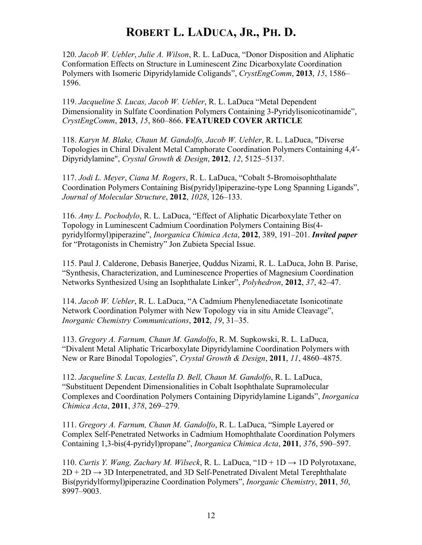120. *Jacob W. Uebler*, *Julie A. Wilson*, R. L. LaDuca, "Donor Disposition and Aliphatic Conformation Effects on Structure in Luminescent Zinc Dicarboxylate Coordination Polymers with Isomeric Dipyridylamide Coligands", *CrystEngComm*, **2013**, *15*, 1586– 1596.

119. *Jacqueline S. Lucas, Jacob W. Uebler*, R. L. LaDuca "Metal Dependent Dimensionality in Sulfate Coordination Polymers Containing 3-Pyridylisonicotinamide", *CrystEngComm*, **2013**, *15*, 860–866. **FEATURED COVER ARTICLE**

118. *Karyn M. Blake, Chaun M. Gandolfo, Jacob W. Uebler*, R. L. LaDuca, "Diverse Topologies in Chiral Divalent Metal Camphorate Coordination Polymers Containing 4,4′- Dipyridylamine", *Crystal Growth & Design*, **2012**, *12*, 5125–5137.

117. *Jodi L. Meyer*, *Ciana M. Rogers*, R. L. LaDuca, "Cobalt 5-Bromoisophthalate Coordination Polymers Containing Bis(pyridyl)piperazine-type Long Spanning Ligands", *Journal of Molecular Structure*, **2012**, *1028*, 126–133.

116. *Amy L. Pochodylo*, R. L. LaDuca, "Effect of Aliphatic Dicarboxylate Tether on Topology in Luminescent Cadmium Coordination Polymers Containing Bis(4 pyridylformyl)piperazine", *Inorganica Chimica Acta*, **2012**, 389, 191–201. *Invited paper* for "Protagonists in Chemistry" Jon Zubieta Special Issue.

115. Paul J. Calderone, Debasis Banerjee, Quddus Nizami, R. L. LaDuca, John B. Parise, "Synthesis, Characterization, and Luminescence Properties of Magnesium Coordination Networks Synthesized Using an Isophthalate Linker", *Polyhedron*, **2012**, *37*, 42–47.

114. *Jacob W. Uebler*, R. L. LaDuca, "A Cadmium Phenylenediacetate Isonicotinate Network Coordination Polymer with New Topology via in situ Amide Cleavage", *Inorganic Chemistry Communications*, **2012**, *19*, 31–35.

113. *Gregory A. Farnum, Chaun M. Gandolfo*, R. M. Supkowski, R. L. LaDuca, "Divalent Metal Aliphatic Tricarboxylate Dipyridylamine Coordination Polymers with New or Rare Binodal Topologies", *Crystal Growth & Design*, **2011**, *11*, 4860–4875.

112. *Jacqueline S. Lucas, Lestella D. Bell, Chaun M. Gandolfo*, R. L. LaDuca, "Substituent Dependent Dimensionalities in Cobalt Isophthalate Supramolecular Complexes and Coordination Polymers Containing Dipyridylamine Ligands", *Inorganica Chimica Acta*, **2011**, *378*, 269–279.

111. *Gregory A. Farnum, Chaun M. Gandolfo*, R. L. LaDuca, "Simple Layered or Complex Self-Penetrated Networks in Cadmium Homophthalate Coordination Polymers Containing 1,3-bis(4-pyridyl)propane", *Inorganica Chimica Acta*, **2011**, *376*, 590–597.

110. *Curtis Y. Wang, Zachary M. Wilseck*, R. L. LaDuca, " $1D + 1D \rightarrow 1D$  Polyrotaxane,  $2D + 2D \rightarrow 3D$  Interpenetrated, and 3D Self-Penetrated Divalent Metal Terephthalate Bis(pyridylformyl)piperazine Coordination Polymers", *Inorganic Chemistry*, **2011**, *50*, 8997–9003.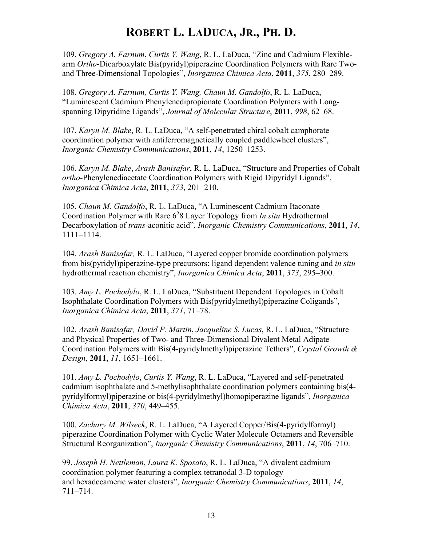109. *Gregory A. Farnum*, *Curtis Y. Wang*, R. L. LaDuca, "Zinc and Cadmium Flexiblearm *Ortho*-Dicarboxylate Bis(pyridyl)piperazine Coordination Polymers with Rare Twoand Three-Dimensional Topologies", *Inorganica Chimica Acta*, **2011**, *375*, 280–289.

108. *Gregory A. Farnum, Curtis Y. Wang, Chaun M. Gandolfo*, R. L. LaDuca, "Luminescent Cadmium Phenylenedipropionate Coordination Polymers with Longspanning Dipyridine Ligands", *Journal of Molecular Structure*, **2011**, *998*, 62–68.

107. *Karyn M. Blake*, R. L. LaDuca, "A self-penetrated chiral cobalt camphorate coordination polymer with antiferromagnetically coupled paddlewheel clusters", *Inorganic Chemistry Communications*, **2011**, *14*, 1250–1253.

106. *Karyn M. Blake*, *Arash Banisafar*, R. L. LaDuca, "Structure and Properties of Cobalt *ortho*-Phenylenediacetate Coordination Polymers with Rigid Dipyridyl Ligands", *Inorganica Chimica Acta*, **2011**, *373*, 201–210.

105. *Chaun M. Gandolfo*, R. L. LaDuca, "A Luminescent Cadmium Itaconate Coordination Polymer with Rare 6<sup>5</sup>8 Layer Topology from *In situ* Hydrothermal Decarboxylation of *trans*-aconitic acid", *Inorganic Chemistry Communications*, **2011**, *14*, 1111–1114.

104. *Arash Banisafar,* R. L. LaDuca, "Layered copper bromide coordination polymers from bis(pyridyl)piperazine-type precursors: ligand dependent valence tuning and *in situ* hydrothermal reaction chemistry", *Inorganica Chimica Acta*, **2011**, *373*, 295–300.

103. *Amy L. Pochodylo*, R. L. LaDuca, "Substituent Dependent Topologies in Cobalt Isophthalate Coordination Polymers with Bis(pyridylmethyl)piperazine Coligands", *Inorganica Chimica Acta*, **2011**, *371*, 71–78.

102. *Arash Banisafar, David P. Martin*, *Jacqueline S. Lucas*, R. L. LaDuca, "Structure and Physical Properties of Two- and Three-Dimensional Divalent Metal Adipate Coordination Polymers with Bis(4-pyridylmethyl)piperazine Tethers", *Crystal Growth & Design*, **2011**, *11*, 1651–1661.

101. *Amy L. Pochodylo*, *Curtis Y. Wang*, R. L. LaDuca, "Layered and self-penetrated cadmium isophthalate and 5-methylisophthalate coordination polymers containing bis(4 pyridylformyl)piperazine or bis(4-pyridylmethyl)homopiperazine ligands", *Inorganica Chimica Acta*, **2011**, *370*, 449–455.

100. *Zachary M. Wilseck*, R. L. LaDuca, "A Layered Copper/Bis(4-pyridylformyl) piperazine Coordination Polymer with Cyclic Water Molecule Octamers and Reversible Structural Reorganization", *Inorganic Chemistry Communications*, **2011**, *14*, 706–710.

99. *Joseph H. Nettleman*, *Laura K. Sposato*, R. L. LaDuca, "A divalent cadmium coordination polymer featuring a complex tetranodal 3-D topology and hexadecameric water clusters", *Inorganic Chemistry Communications*, **2011**, *14*, 711–714.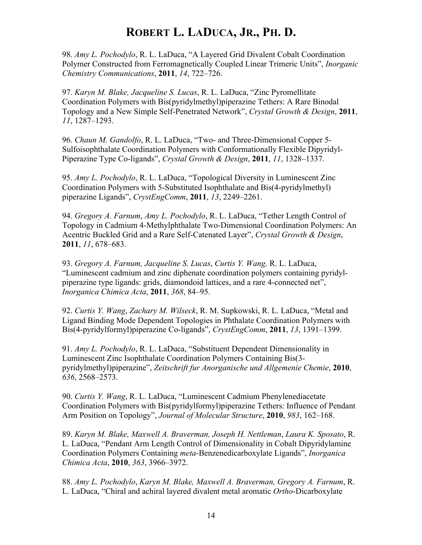98. *Amy L. Pochodylo*, R. L. LaDuca, "A Layered Grid Divalent Cobalt Coordination Polymer Constructed from Ferromagnetically Coupled Linear Trimeric Units", *Inorganic Chemistry Communications*, **2011**, *14*, 722–726.

97. *Karyn M. Blake, Jacqueline S. Lucas*, R. L. LaDuca, "Zinc Pyromellitate Coordination Polymers with Bis(pyridylmethyl)piperazine Tethers: A Rare Binodal Topology and a New Simple Self-Penetrated Network", *Crystal Growth & Design*, **2011**, *11*, 1287–1293.

96. *Chaun M. Gandolfo*, R. L. LaDuca, "Two- and Three-Dimensional Copper 5- Sulfoisophthalate Coordination Polymers with Conformationally Flexible Dipyridyl-Piperazine Type Co-ligands", *Crystal Growth & Design*, **2011**, *11*, 1328–1337.

95. *Amy L. Pochodylo*, R. L. LaDuca, "Topological Diversity in Luminescent Zinc Coordination Polymers with 5-Substituted Isophthalate and Bis(4-pyridylmethyl) piperazine Ligands", *CrystEngComm*, **2011**, *13*, 2249–2261.

94. *Gregory A. Farnum*, *Amy L. Pochodylo*, R. L. LaDuca, "Tether Length Control of Topology in Cadmium 4-Methylphthalate Two-Dimensional Coordination Polymers: An Acentric Buckled Grid and a Rare Self-Catenated Layer", *Crystal Growth & Design*, **2011**, *11*, 678–683.

93. *Gregory A. Farnum, Jacqueline S. Lucas*, *Curtis Y. Wang,* R. L. LaDuca, "Luminescent cadmium and zinc diphenate coordination polymers containing pyridylpiperazine type ligands: grids, diamondoid lattices, and a rare 4-connected net", *Inorganica Chimica Acta*, **2011**, *368*, 84–95.

92. *Curtis Y. Wang*, *Zachary M. Wilseck*, R. M. Supkowski, R. L. LaDuca, "Metal and Ligand Binding Mode Dependent Topologies in Phthalate Coordination Polymers with Bis(4-pyridylformyl)piperazine Co-ligands", *CrystEngComm*, **2011**, *13*, 1391–1399.

91. *Amy L. Pochodylo*, R. L. LaDuca, "Substituent Dependent Dimensionality in Luminescent Zinc Isophthalate Coordination Polymers Containing Bis(3 pyridylmethyl)piperazine", *Zeitschrift fur Anorganische und Allgemenie Chemie*, **2010**, *636*, 2568–2573.

90. *Curtis Y. Wang*, R. L. LaDuca, "Luminescent Cadmium Phenylenediacetate Coordination Polymers with Bis(pyridylformyl)piperazine Tethers: Influence of Pendant Arm Position on Topology", *Journal of Molecular Structure*, **2010**, *983*, 162–168.

89. *Karyn M. Blake, Maxwell A. Braverman, Joseph H. Nettleman*, *Laura K. Sposato*, R. L. LaDuca, "Pendant Arm Length Control of Dimensionality in Cobalt Dipyridylamine Coordination Polymers Containing *meta*-Benzenedicarboxylate Ligands", *Inorganica Chimica Acta*, **2010**, *363*, 3966–3972.

88. *Amy L. Pochodylo*, *Karyn M. Blake, Maxwell A. Braverman, Gregory A. Farnum*, R. L. LaDuca, "Chiral and achiral layered divalent metal aromatic *Ortho*-Dicarboxylate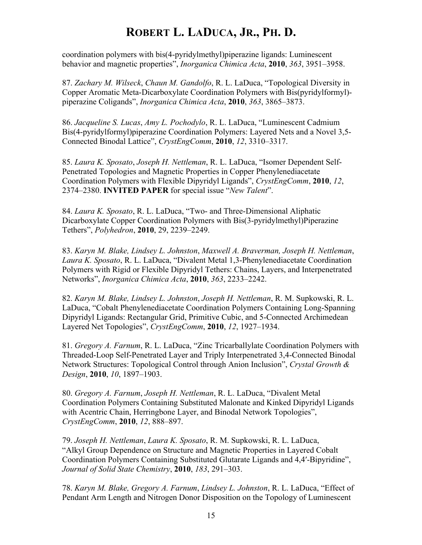coordination polymers with bis(4-pyridylmethyl)piperazine ligands: Luminescent behavior and magnetic properties", *Inorganica Chimica Acta*, **2010**, *363*, 3951–3958.

87. *Zachary M. Wilseck*, *Chaun M. Gandolfo*, R. L. LaDuca, "Topological Diversity in Copper Aromatic Meta-Dicarboxylate Coordination Polymers with Bis(pyridylformyl) piperazine Coligands", *Inorganica Chimica Acta*, **2010**, *363*, 3865–3873.

86. *Jacqueline S. Lucas*, *Amy L. Pochodylo*, R. L. LaDuca, "Luminescent Cadmium Bis(4-pyridylformyl)piperazine Coordination Polymers: Layered Nets and a Novel 3,5- Connected Binodal Lattice", *CrystEngComm*, **2010**, *12*, 3310–3317.

85. *Laura K. Sposato*, *Joseph H. Nettleman*, R. L. LaDuca, "Isomer Dependent Self-Penetrated Topologies and Magnetic Properties in Copper Phenylenediacetate Coordination Polymers with Flexible Dipyridyl Ligands", *CrystEngComm*, **2010**, *12*, 2374–2380. **INVITED PAPER** for special issue "*New Talent*".

84. *Laura K. Sposato*, R. L. LaDuca, "Two- and Three-Dimensional Aliphatic Dicarboxylate Copper Coordination Polymers with Bis(3-pyridylmethyl)Piperazine Tethers", *Polyhedron*, **2010**, 29, 2239–2249.

83. *Karyn M. Blake, Lindsey L. Johnston*, *Maxwell A. Braverman, Joseph H. Nettleman*, *Laura K. Sposato*, R. L. LaDuca, "Divalent Metal 1,3-Phenylenediacetate Coordination Polymers with Rigid or Flexible Dipyridyl Tethers: Chains, Layers, and Interpenetrated Networks", *Inorganica Chimica Acta*, **2010**, *363*, 2233–2242.

82. *Karyn M. Blake, Lindsey L. Johnston*, *Joseph H. Nettleman*, R. M. Supkowski, R. L. LaDuca, "Cobalt Phenylenediacetate Coordination Polymers Containing Long-Spanning Dipyridyl Ligands: Rectangular Grid, Primitive Cubic, and 5-Connected Archimedean Layered Net Topologies", *CrystEngComm*, **2010**, *12*, 1927–1934.

81. *Gregory A. Farnum*, R. L. LaDuca, "Zinc Tricarballylate Coordination Polymers with Threaded-Loop Self-Penetrated Layer and Triply Interpenetrated 3,4-Connected Binodal Network Structures: Topological Control through Anion Inclusion", *Crystal Growth & Design*, **2010**, *10*, 1897–1903.

80. *Gregory A. Farnum*, *Joseph H. Nettleman*, R. L. LaDuca, "Divalent Metal Coordination Polymers Containing Substituted Malonate and Kinked Dipyridyl Ligands with Acentric Chain, Herringbone Layer, and Binodal Network Topologies", *CrystEngComm*, **2010**, *12*, 888–897.

79. *Joseph H. Nettleman*, *Laura K. Sposato*, R. M. Supkowski, R. L. LaDuca, "Alkyl Group Dependence on Structure and Magnetic Properties in Layered Cobalt Coordination Polymers Containing Substituted Glutarate Ligands and 4,4′-Bipyridine", *Journal of Solid State Chemistry*, **2010**, *183*, 291–303.

78. *Karyn M. Blake, Gregory A. Farnum*, *Lindsey L. Johnston*, R. L. LaDuca, "Effect of Pendant Arm Length and Nitrogen Donor Disposition on the Topology of Luminescent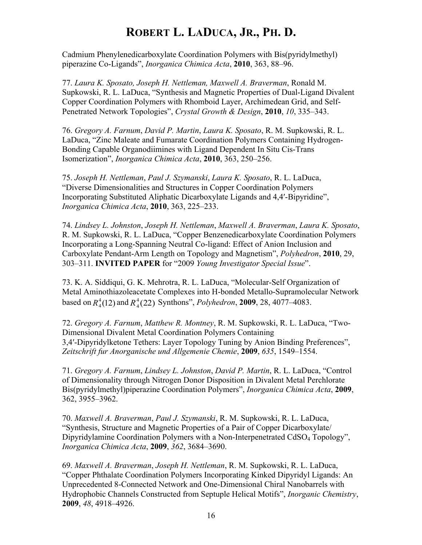Cadmium Phenylenedicarboxylate Coordination Polymers with Bis(pyridylmethyl) piperazine Co-Ligands", *Inorganica Chimica Acta*, **2010**, 363, 88–96.

77. *Laura K. Sposato, Joseph H. Nettleman, Maxwell A. Braverman*, Ronald M. Supkowski, R. L. LaDuca, "Synthesis and Magnetic Properties of Dual-Ligand Divalent Copper Coordination Polymers with Rhomboid Layer, Archimedean Grid, and Self-Penetrated Network Topologies", *Crystal Growth & Design*, **2010**, *10*, 335–343.

76. *Gregory A. Farnum*, *David P. Martin*, *Laura K. Sposato*, R. M. Supkowski, R. L. LaDuca, "Zinc Maleate and Fumarate Coordination Polymers Containing Hydrogen-Bonding Capable Organodiimines with Ligand Dependent In Situ Cis-Trans Isomerization", *Inorganica Chimica Acta*, **2010**, 363, 250–256.

75. *Joseph H. Nettleman*, *Paul J. Szymanski*, *Laura K. Sposato*, R. L. LaDuca, "Diverse Dimensionalities and Structures in Copper Coordination Polymers Incorporating Substituted Aliphatic Dicarboxylate Ligands and 4,4′-Bipyridine", *Inorganica Chimica Acta*, **2010**, 363, 225–233.

74. *Lindsey L. Johnston*, *Joseph H. Nettleman*, *Maxwell A. Braverman*, *Laura K. Sposato*, R. M. Supkowski, R. L. LaDuca, "Copper Benzenedicarboxylate Coordination Polymers Incorporating a Long-Spanning Neutral Co-ligand: Effect of Anion Inclusion and Carboxylate Pendant-Arm Length on Topology and Magnetism", *Polyhedron*, **2010**, 29, 303–311. **INVITED PAPER** for "2009 *Young Investigator Special Issue*".

73. K. A. Siddiqui, G. K. Mehrotra, R. L. LaDuca, "Molecular-Self Organization of Metal Aminothiazoleacetate Complexes into H-bonded Metallo-Supramolecular Network based on  $R_4^4(12)$  and  $R_4^4(22)$  Synthons", *Polyhedron*, **2009**, 28, 4077–4083.

72. *Gregory A. Farnum*, *Matthew R. Montney*, R. M. Supkowski, R. L. LaDuca, "Two-Dimensional Divalent Metal Coordination Polymers Containing 3,4′-Dipyridylketone Tethers: Layer Topology Tuning by Anion Binding Preferences", *Zeitschrift fur Anorganische und Allgemenie Chemie*, **2009**, *635*, 1549–1554.

71. *Gregory A. Farnum*, *Lindsey L. Johnston*, *David P. Martin*, R. L. LaDuca, "Control of Dimensionality through Nitrogen Donor Disposition in Divalent Metal Perchlorate Bis(pyridylmethyl)piperazine Coordination Polymers", *Inorganica Chimica Acta*, **2009**, 362, 3955–3962.

70. *Maxwell A. Braverman*, *Paul J. Szymanski*, R. M. Supkowski, R. L. LaDuca, "Synthesis, Structure and Magnetic Properties of a Pair of Copper Dicarboxylate/ Dipyridylamine Coordination Polymers with a Non-Interpenetrated CdSO<sub>4</sub> Topology", *Inorganica Chimica Acta*, **2009**, *362*, 3684–3690.

69. *Maxwell A. Braverman*, *Joseph H. Nettleman*, R. M. Supkowski, R. L. LaDuca, "Copper Phthalate Coordination Polymers Incorporating Kinked Dipyridyl Ligands: An Unprecedented 8-Connected Network and One-Dimensional Chiral Nanobarrels with Hydrophobic Channels Constructed from Septuple Helical Motifs", *Inorganic Chemistry*, **2009**, *48*, 4918–4926.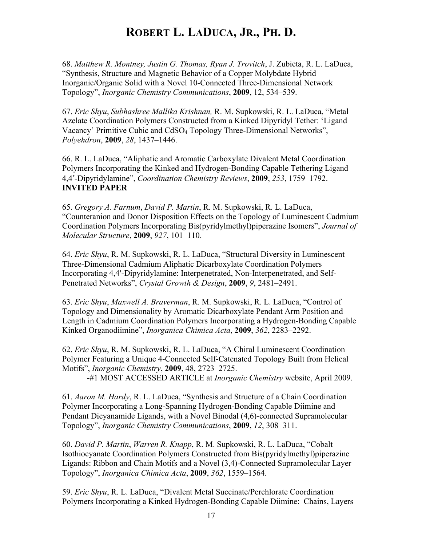68. *Matthew R. Montney, Justin G. Thomas, Ryan J. Trovitch*, J. Zubieta, R. L. LaDuca, "Synthesis, Structure and Magnetic Behavior of a Copper Molybdate Hybrid Inorganic/Organic Solid with a Novel 10-Connected Three-Dimensional Network Topology", *Inorganic Chemistry Communications*, **2009**, 12, 534–539.

67. *Eric Shyu*, *Subhashree Mallika Krishnan,* R. M. Supkowski, R. L. LaDuca, "Metal Azelate Coordination Polymers Constructed from a Kinked Dipyridyl Tether: 'Ligand Vacancy' Primitive Cubic and CdSO4 Topology Three-Dimensional Networks", *Polyehdron*, **2009**, *28*, 1437–1446.

66. R. L. LaDuca, "Aliphatic and Aromatic Carboxylate Divalent Metal Coordination Polymers Incorporating the Kinked and Hydrogen-Bonding Capable Tethering Ligand 4,4′-Dipyridylamine", *Coordination Chemistry Reviews*, **2009**, *253*, 1759–1792. **INVITED PAPER**

65. *Gregory A. Farnum*, *David P. Martin*, R. M. Supkowski, R. L. LaDuca, "Counteranion and Donor Disposition Effects on the Topology of Luminescent Cadmium Coordination Polymers Incorporating Bis(pyridylmethyl)piperazine Isomers", *Journal of Molecular Structure*, **2009**, *927*, 101–110.

64. *Eric Shyu*, R. M. Supkowski, R. L. LaDuca, "Structural Diversity in Luminescent Three-Dimensional Cadmium Aliphatic Dicarboxylate Coordination Polymers Incorporating 4,4′-Dipyridylamine: Interpenetrated, Non-Interpenetrated, and Self-Penetrated Networks", *Crystal Growth & Design*, **2009**, *9*, 2481–2491.

63. *Eric Shyu*, *Maxwell A. Braverman*, R. M. Supkowski, R. L. LaDuca, "Control of Topology and Dimensionality by Aromatic Dicarboxylate Pendant Arm Position and Length in Cadmium Coordination Polymers Incorporating a Hydrogen-Bonding Capable Kinked Organodiimine", *Inorganica Chimica Acta*, **2009**, *362*, 2283–2292.

62. *Eric Shyu*, R. M. Supkowski, R. L. LaDuca, "A Chiral Luminescent Coordination Polymer Featuring a Unique 4-Connected Self-Catenated Topology Built from Helical Motifs", *Inorganic Chemistry*, **2009**, 48, 2723–2725.

-#1 MOST ACCESSED ARTICLE at *Inorganic Chemistry* website, April 2009.

61. *Aaron M. Hardy*, R. L. LaDuca, "Synthesis and Structure of a Chain Coordination Polymer Incorporating a Long-Spanning Hydrogen-Bonding Capable Diimine and Pendant Dicyanamide Ligands, with a Novel Binodal (4,6)-connected Supramolecular Topology", *Inorganic Chemistry Communications*, **2009**, *12*, 308–311.

60. *David P. Martin*, *Warren R. Knapp*, R. M. Supkowski, R. L. LaDuca, "Cobalt Isothiocyanate Coordination Polymers Constructed from Bis(pyridylmethyl)piperazine Ligands: Ribbon and Chain Motifs and a Novel (3,4)-Connected Supramolecular Layer Topology", *Inorganica Chimica Acta*, **2009**, *362*, 1559–1564.

59. *Eric Shyu*, R. L. LaDuca, "Divalent Metal Succinate/Perchlorate Coordination Polymers Incorporating a Kinked Hydrogen-Bonding Capable Diimine: Chains, Layers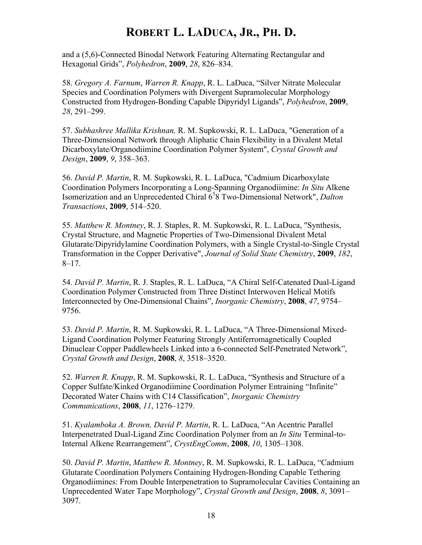and a (5,6)-Connected Binodal Network Featuring Alternating Rectangular and Hexagonal Grids", *Polyhedron*, **2009**, *28*, 826–834.

58. *Gregory A. Farnum*, *Warren R. Knapp*, R. L. LaDuca, "Silver Nitrate Molecular Species and Coordination Polymers with Divergent Supramolecular Morphology Constructed from Hydrogen-Bonding Capable Dipyridyl Ligands", *Polyhedron*, **2009**, *28*, 291–299.

57. *Subhashree Mallika Krishnan,* R. M. Supkowski, R. L. LaDuca, "Generation of a Three-Dimensional Network through Aliphatic Chain Flexibility in a Divalent Metal Dicarboxylate/Organodiimine Coordination Polymer System", *Crystal Growth and Design*, **2009**, *9*, 358–363.

56. *David P. Martin*, R. M. Supkowski, R. L. LaDuca, "Cadmium Dicarboxylate Coordination Polymers Incorporating a Long-Spanning Organodiimine: *In Situ* Alkene Isomerization and an Unprecedented Chiral 6<sup>5</sup>8 Two-Dimensional Network", *Dalton Transactions*, **2009**, 514–520.

55. *Matthew R. Montney*, R. J. Staples, R. M. Supkowski, R. L. LaDuca, "Synthesis, Crystal Structure, and Magnetic Properties of Two-Dimensional Divalent Metal Glutarate/Dipyridylamine Coordination Polymers, with a Single Crystal-to-Single Crystal Transformation in the Copper Derivative", *Journal of Solid State Chemistry*, **2009**, *182*, 8–17.

54. *David P. Martin*, R. J. Staples, R. L. LaDuca, "A Chiral Self-Catenated Dual-Ligand Coordination Polymer Constructed from Three Distinct Interwoven Helical Motifs Interconnected by One-Dimensional Chains", *Inorganic Chemistry*, **2008**, *47*, 9754– 9756.

53. *David P. Martin*, R. M. Supkowski, R. L. LaDuca, "A Three-Dimensional Mixed-Ligand Coordination Polymer Featuring Strongly Antiferromagnetically Coupled Dinuclear Copper Paddlewheels Linked into a 6-connected Self-Penetrated Network", *Crystal Growth and Design*, **2008**, *8*, 3518–3520.

52. *Warren R. Knapp*, R. M. Supkowski, R. L. LaDuca, "Synthesis and Structure of a Copper Sulfate/Kinked Organodiimine Coordination Polymer Entraining "Infinite" Decorated Water Chains with C14 Classification", *Inorganic Chemistry Communications*, **2008**, *11*, 1276–1279.

51. *Kyalamboka A. Brown, David P. Martin*, R. L. LaDuca, "An Acentric Parallel Interpenetrated Dual-Ligand Zinc Coordination Polymer from an *In Situ* Terminal-to-Internal Alkene Rearrangement", *CrystEngComm*, **2008**, *10*, 1305–1308.

50. *David P. Martin*, *Matthew R. Montney*, R. M. Supkowski, R. L. LaDuca, "Cadmium Glutarate Coordination Polymers Containing Hydrogen-Bonding Capable Tethering Organodiimines: From Double Interpenetration to Supramolecular Cavities Containing an Unprecedented Water Tape Morphology", *Crystal Growth and Design*, **2008**, *8*, 3091– 3097.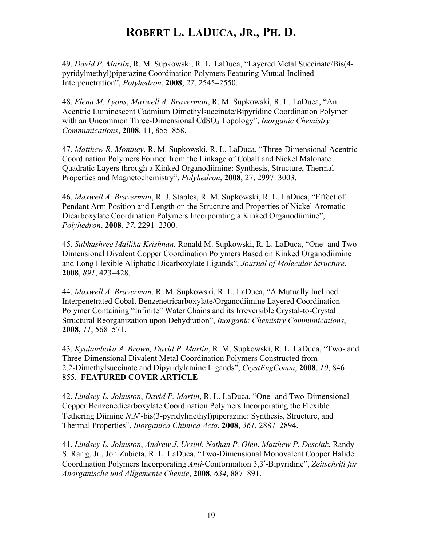49. *David P. Martin*, R. M. Supkowski, R. L. LaDuca, "Layered Metal Succinate/Bis(4 pyridylmethyl)piperazine Coordination Polymers Featuring Mutual Inclined Interpenetration", *Polyhedron*, **2008**, *27*, 2545–2550.

48. *Elena M. Lyons*, *Maxwell A. Braverman*, R. M. Supkowski, R. L. LaDuca, "An Acentric Luminescent Cadmium Dimethylsuccinate/Bipyridine Coordination Polymer with an Uncommon Three-Dimensional CdSO<sub>4</sub> Topology", *Inorganic Chemistry Communications*, **2008**, 11, 855–858.

47. *Matthew R. Montney*, R. M. Supkowski, R. L. LaDuca, "Three-Dimensional Acentric Coordination Polymers Formed from the Linkage of Cobalt and Nickel Malonate Quadratic Layers through a Kinked Organodiimine: Synthesis, Structure, Thermal Properties and Magnetochemistry", *Polyhedron*, **2008**, 27, 2997–3003.

46. *Maxwell A. Braverman*, R. J. Staples, R. M. Supkowski, R. L. LaDuca, "Effect of Pendant Arm Position and Length on the Structure and Properties of Nickel Aromatic Dicarboxylate Coordination Polymers Incorporating a Kinked Organodiimine", *Polyhedron*, **2008**, *27*, 2291–2300.

45. *Subhashree Mallika Krishnan,* Ronald M. Supkowski, R. L. LaDuca, "One- and Two-Dimensional Divalent Copper Coordination Polymers Based on Kinked Organodiimine and Long Flexible Aliphatic Dicarboxylate Ligands", *Journal of Molecular Structure*, **2008**, *891*, 423–428.

44. *Maxwell A. Braverman*, R. M. Supkowski, R. L. LaDuca, "A Mutually Inclined Interpenetrated Cobalt Benzenetricarboxylate/Organodiimine Layered Coordination Polymer Containing "Infinite" Water Chains and its Irreversible Crystal-to-Crystal Structural Reorganization upon Dehydration", *Inorganic Chemistry Communications*, **2008**, *11*, 568–571.

43. *Kyalamboka A. Brown, David P. Martin*, R. M. Supkowski, R. L. LaDuca, "Two- and Three-Dimensional Divalent Metal Coordination Polymers Constructed from 2,2-Dimethylsuccinate and Dipyridylamine Ligands", *CrystEngComm*, **2008**, *10*, 846– 855. **FEATURED COVER ARTICLE**

42. *Lindsey L. Johnston*, *David P. Martin*, R. L. LaDuca, "One- and Two-Dimensional Copper Benzenedicarboxylate Coordination Polymers Incorporating the Flexible Tethering Diimine *N*,*N*′-bis(3-pyridylmethyl)piperazine: Synthesis, Structure, and Thermal Properties", *Inorganica Chimica Acta*, **2008**, *361*, 2887–2894.

41. *Lindsey L. Johnston*, *Andrew J. Ursini*, *Nathan P. Oien*, *Matthew P. Desciak*, Randy S. Rarig, Jr., Jon Zubieta, R. L. LaDuca, "Two-Dimensional Monovalent Copper Halide Coordination Polymers Incorporating *Anti*-Conformation 3,3′-Bipyridine", *Zeitschrift fur Anorganische und Allgemenie Chemie*, **2008**, *634*, 887–891.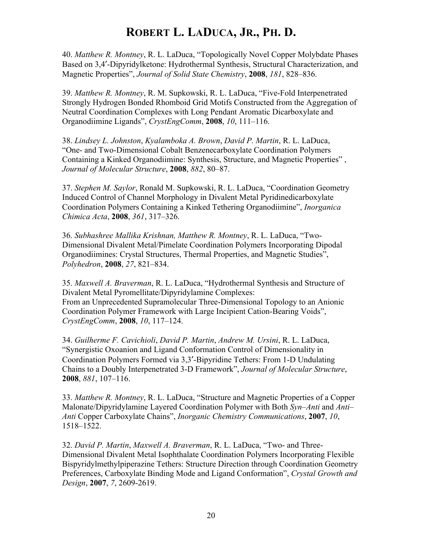40. *Matthew R. Montney*, R. L. LaDuca, "Topologically Novel Copper Molybdate Phases Based on 3,4′-Dipyridylketone: Hydrothermal Synthesis, Structural Characterization, and Magnetic Properties", *Journal of Solid State Chemistry*, **2008**, *181*, 828–836.

39. *Matthew R. Montney*, R. M. Supkowski, R. L. LaDuca, "Five-Fold Interpenetrated Strongly Hydrogen Bonded Rhomboid Grid Motifs Constructed from the Aggregation of Neutral Coordination Complexes with Long Pendant Aromatic Dicarboxylate and Organodiimine Ligands", *CrystEngComm*, **2008**, *10*, 111–116.

38. *Lindsey L. Johnston*, *Kyalamboka A. Brown*, *David P. Martin*, R. L. LaDuca, "One- and Two-Dimensional Cobalt Benzenecarboxylate Coordination Polymers Containing a Kinked Organodiimine: Synthesis, Structure, and Magnetic Properties" , *Journal of Molecular Structure*, **2008**, *882*, 80–87.

37. *Stephen M. Saylor*, Ronald M. Supkowski, R. L. LaDuca, "Coordination Geometry Induced Control of Channel Morphology in Divalent Metal Pyridinedicarboxylate Coordination Polymers Containing a Kinked Tethering Organodiimine", *Inorganica Chimica Acta*, **2008**, *361*, 317–326.

36. *Subhashree Mallika Krishnan, Matthew R. Montney*, R. L. LaDuca, "Two-Dimensional Divalent Metal/Pimelate Coordination Polymers Incorporating Dipodal Organodiimines: Crystal Structures, Thermal Properties, and Magnetic Studies", *Polyhedron*, **2008**, *27*, 821–834.

35. *Maxwell A. Braverman*, R. L. LaDuca, "Hydrothermal Synthesis and Structure of Divalent Metal Pyromellitate/Dipyridylamine Complexes: From an Unprecedented Supramolecular Three-Dimensional Topology to an Anionic Coordination Polymer Framework with Large Incipient Cation-Bearing Voids", *CrystEngComm*, **2008**, *10*, 117–124.

34. *Guilherme F. Cavichioli*, *David P. Martin*, *Andrew M. Ursini*, R. L. LaDuca, "Synergistic Oxoanion and Ligand Conformation Control of Dimensionality in Coordination Polymers Formed via 3,3′-Bipyridine Tethers: From 1-D Undulating Chains to a Doubly Interpenetrated 3-D Framework", *Journal of Molecular Structure*, **2008**, *881*, 107–116.

33. *Matthew R. Montney*, R. L. LaDuca, "Structure and Magnetic Properties of a Copper Malonate/Dipyridylamine Layered Coordination Polymer with Both *Syn–Anti* and *Anti– Anti* Copper Carboxylate Chains", *Inorganic Chemistry Communications*, **2007**, *10*, 1518–1522.

32. *David P. Martin*, *Maxwell A. Braverman*, R. L. LaDuca, "Two- and Three-Dimensional Divalent Metal Isophthalate Coordination Polymers Incorporating Flexible Bispyridylmethylpiperazine Tethers: Structure Direction through Coordination Geometry Preferences, Carboxylate Binding Mode and Ligand Conformation", *Crystal Growth and Design*, **2007**, *7*, 2609-2619.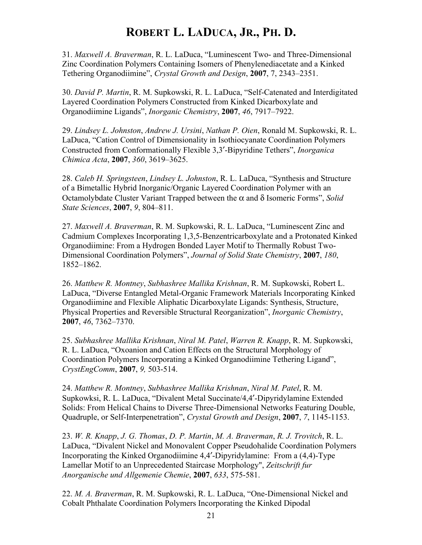31. *Maxwell A. Braverman*, R. L. LaDuca, "Luminescent Two- and Three-Dimensional Zinc Coordination Polymers Containing Isomers of Phenylenediacetate and a Kinked Tethering Organodiimine", *Crystal Growth and Design*, **2007**, 7, 2343–2351.

30. *David P. Martin*, R. M. Supkowski, R. L. LaDuca, "Self-Catenated and Interdigitated Layered Coordination Polymers Constructed from Kinked Dicarboxylate and Organodiimine Ligands", *Inorganic Chemistry*, **2007**, *46*, 7917–7922.

29. *Lindsey L. Johnston*, *Andrew J. Ursini*, *Nathan P. Oien*, Ronald M. Supkowski, R. L. LaDuca, "Cation Control of Dimensionality in Isothiocyanate Coordination Polymers Constructed from Conformationally Flexible 3,3′-Bipyridine Tethers", *Inorganica Chimica Acta*, **2007**, *360*, 3619–3625.

28. *Caleb H. Springsteen*, *Lindsey L. Johnston*, R. L. LaDuca, "Synthesis and Structure of a Bimetallic Hybrid Inorganic/Organic Layered Coordination Polymer with an Octamolybdate Cluster Variant Trapped between the α and δ Isomeric Forms", *Solid State Sciences*, **2007**, *9*, 804–811.

27. *Maxwell A. Braverman*, R. M. Supkowski, R. L. LaDuca, "Luminescent Zinc and Cadmium Complexes Incorporating 1,3,5-Benzentricarboxylate and a Protonated Kinked Organodiimine: From a Hydrogen Bonded Layer Motif to Thermally Robust Two-Dimensional Coordination Polymers", *Journal of Solid State Chemistry*, **2007**, *180*, 1852–1862.

26. *Matthew R. Montney*, *Subhashree Mallika Krishnan*, R. M. Supkowski, Robert L. LaDuca, "Diverse Entangled Metal-Organic Framework Materials Incorporating Kinked Organodiimine and Flexible Aliphatic Dicarboxylate Ligands: Synthesis, Structure, Physical Properties and Reversible Structural Reorganization", *Inorganic Chemistry*, **2007**, *46*, 7362–7370.

25. *Subhashree Mallika Krishnan*, *Niral M. Patel*, *Warren R. Knapp*, R. M. Supkowski, R. L. LaDuca, "Oxoanion and Cation Effects on the Structural Morphology of Coordination Polymers Incorporating a Kinked Organodiimine Tethering Ligand", *CrystEngComm*, **2007**, *9,* 503-514.

24. *Matthew R. Montney*, *Subhashree Mallika Krishnan*, *Niral M. Patel*, R. M. Supkowksi, R. L. LaDuca, "Divalent Metal Succinate/4,4′-Dipyridylamine Extended Solids: From Helical Chains to Diverse Three-Dimensional Networks Featuring Double, Quadruple, or Self-Interpenetration", *Crystal Growth and Design*, **2007**, *7*, 1145-1153.

23. *W. R. Knapp*, *J. G. Thomas*, *D. P. Martin*, *M. A. Braverman*, *R. J. Trovitch*, R. L. LaDuca, "Divalent Nickel and Monovalent Copper Pseudohalide Coordination Polymers Incorporating the Kinked Organodiimine 4,4′-Dipyridylamine: From a (4,4)-Type Lamellar Motif to an Unprecedented Staircase Morphology", *Zeitschrift fur Anorganische und Allgemenie Chemie*, **2007**, *633*, 575-581.

22. *M. A. Braverman*, R. M. Supkowski, R. L. LaDuca, "One-Dimensional Nickel and Cobalt Phthalate Coordination Polymers Incorporating the Kinked Dipodal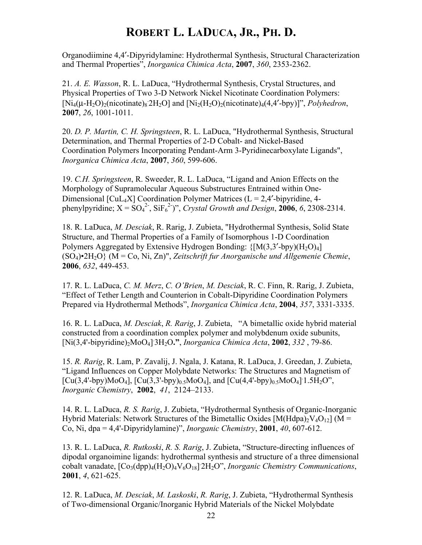Organodiimine 4,4′-Dipyridylamine: Hydrothermal Synthesis, Structural Characterization and Thermal Properties", *Inorganica Chimica Acta*, **2007**, *360*, 2353-2362.

21. *A. E. Wasson*, R. L. LaDuca, "Hydrothermal Synthesis, Crystal Structures, and Physical Properties of Two 3-D Network Nickel Nicotinate Coordination Polymers: [ $Ni<sub>4</sub>(\mu-H<sub>2</sub>O)<sub>2</sub>(nicotinate)<sub>8</sub> 2H<sub>2</sub>O]$  and  $[Ni<sub>2</sub>(H<sub>2</sub>O)<sub>2</sub>(nicotinate)<sub>4</sub>(4,4'-bpy)]$ ", *Polyhedron*, **2007**, *26*, 1001-1011.

20. *D. P. Martin, C. H. Springsteen*, R. L. LaDuca, "Hydrothermal Synthesis, Structural Determination, and Thermal Properties of 2-D Cobalt- and Nickel-Based Coordination Polymers Incorporating Pendant-Arm 3-Pyridinecarboxylate Ligands", *Inorganica Chimica Acta*, **2007**, *360*, 599-606.

19. *C.H. Springsteen*, R. Sweeder, R. L. LaDuca, "Ligand and Anion Effects on the Morphology of Supramolecular Aqueous Substructures Entrained within One-Dimensional  $\text{[CuL<sub>4</sub>X]}$  Coordination Polymer Matrices (L = 2,4'-bipyridine, 4phenylpyridine;  $X = SO_4^2$ ,  $SiF_6^2$ )", *Crystal Growth and Design*, **2006**, 6, 2308-2314.

18. R. LaDuca, *M. Desciak*, R. Rarig, J. Zubieta, "Hydrothermal Synthesis, Solid State Structure, and Thermal Properties of a Family of Isomorphous 1-D Coordination Polymers Aggregated by Extensive Hydrogen Bonding:  $\{[M(3,3'-bpy)(H_2O)_4]\}$ (SO4)•2H2O} (M = Co, Ni, Zn)", *Zeitschrift fur Anorganische und Allgemenie Chemie*, **2006**, *632*, 449-453.

17. R. L. LaDuca, *C. M. Merz*, *C. O'Brien*, *M. Desciak*, R. C. Finn, R. Rarig, J. Zubieta, "Effect of Tether Length and Counterion in Cobalt-Dipyridine Coordination Polymers Prepared via Hydrothermal Methods", *Inorganica Chimica Acta*, **2004**, *357*, 3331-3335.

16. R. L. LaDuca, *M. Desciak*, *R. Rarig*, J. Zubieta, "A bimetallic oxide hybrid material constructed from a coordination complex polymer and molybdenum oxide subunits, [Ni(3,4'-bipyridine)2MoO4] . 3H2O**."**, *Inorganica Chimica Acta*, **2002**, *332* , 79-86.

15. *R. Rarig*, R. Lam, P. Zavalij, J. Ngala, J. Katana, R. LaDuca, J. Greedan, J. Zubieta, "Ligand Influences on Copper Molybdate Networks: The Structures and Magnetism of  $[Cu(3,4'-bpy)MoO<sub>4</sub>], [Cu(3,3'-bpy)<sub>0.5</sub>MoO<sub>4</sub>], and [Cu(4,4'-bpy)<sub>0.5</sub>MoO<sub>4</sub>] 1.5H<sub>2</sub>O",$ *Inorganic Chemistry*, **2002**, *41*, 2124–2133.

14. R. L. LaDuca, *R. S. Rarig*, J. Zubieta, "Hydrothermal Synthesis of Organic-Inorganic Hybrid Materials: Network Structures of the Bimetallic Oxides  $[M(Hdpa)<sub>2</sub>V<sub>4</sub>O<sub>12</sub>]$  (M = Co, Ni, dpa = 4,4'-Dipyridylamine)", *Inorganic Chemistry*, **2001**, *40*, 607-612.

13. R. L. LaDuca, *R. Rutkoski*, *R. S. Rarig*, J. Zubieta, "Structure-directing influences of dipodal organoimine ligands: hydrothermal synthesis and structure of a three dimensional cobalt vanadate,  $[Co_3(\text{dpp})_4(H_2O)_4V_6O_{18}]$  2H<sub>2</sub>O", *Inorganic Chemistry Communications*, **2001**, *4*, 621-625.

12. R. LaDuca, *M. Desciak*, *M. Laskoski*, *R. Rarig*, J. Zubieta, "Hydrothermal Synthesis of Two-dimensional Organic/Inorganic Hybrid Materials of the Nickel Molybdate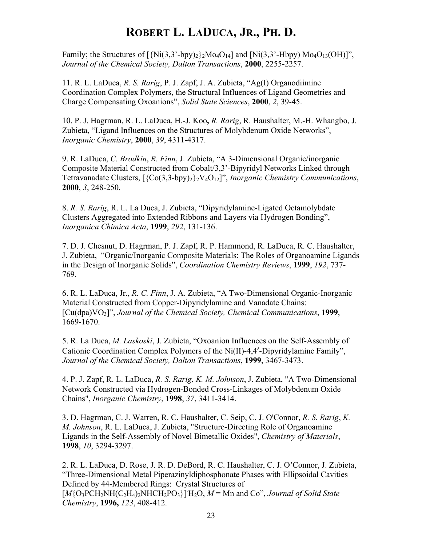Family; the Structures of  $\left[\frac{\text{Ni}}{(3,3^{\degree}-b\text{pv}})_{2}\right]_{2}M_0 \cdot 0_{14}$  and  $\left[\text{Ni}(3,3^{\degree}-Hb\text{pv})\right]_{2}M_0 \cdot 0_{13}$ *Journal of the Chemical Society, Dalton Transactions*, **2000**, 2255-2257.

11. R. L. LaDuca, *R. S. Rarig*, P. J. Zapf, J. A. Zubieta, "Ag(I) Organodiimine Coordination Complex Polymers, the Structural Influences of Ligand Geometries and Charge Compensating Oxoanions", *Solid State Sciences*, **2000**, *2*, 39-45.

10. P. J. Hagrman, R. L. LaDuca, H.-J. Koo**,** *R. Rarig*, R. Haushalter, M.-H. Whangbo, J. Zubieta, "Ligand Influences on the Structures of Molybdenum Oxide Networks", *Inorganic Chemistry*, **2000**, *39*, 4311-4317.

9. R. LaDuca, *C. Brodkin*, *R. Finn*, J. Zubieta, "A 3-Dimensional Organic/inorganic Composite Material Constructed from Cobalt/3,3'-Bipyridyl Networks Linked through Tetravanadate Clusters, [{Co(3,3-bpy)2}2V4O12]", *Inorganic Chemistry Communications*, **2000**, *3*, 248-250.

8. *R. S. Rarig*, R. L. La Duca, J. Zubieta, "Dipyridylamine-Ligated Octamolybdate Clusters Aggregated into Extended Ribbons and Layers via Hydrogen Bonding", *Inorganica Chimica Acta*, **1999**, *292*, 131-136.

7. D. J. Chesnut, D. Hagrman, P. J. Zapf, R. P. Hammond, R. LaDuca, R. C. Haushalter, J. Zubieta, "Organic/Inorganic Composite Materials: The Roles of Organoamine Ligands in the Design of Inorganic Solids", *Coordination Chemistry Reviews*, **1999**, *192*, 737- 769.

6. R. L. LaDuca, Jr., *R. C. Finn*, J. A. Zubieta, "A Two-Dimensional Organic-Inorganic Material Constructed from Copper-Dipyridylamine and Vanadate Chains: [Cu(dpa)VO3]", *Journal of the Chemical Society, Chemical Communications*, **1999**, 1669-1670.

5. R. La Duca, *M. Laskoski*, J. Zubieta, "Oxoanion Influences on the Self-Assembly of Cationic Coordination Complex Polymers of the Ni(II)-4,4′-Dipyridylamine Family", *Journal of the Chemical Society, Dalton Transactions*, **1999**, 3467-3473.

4. P. J. Zapf, R. L. LaDuca, *R. S. Rarig*, *K. M. Johnson*, J. Zubieta, "A Two-Dimensional Network Constructed via Hydrogen-Bonded Cross-Linkages of Molybdenum Oxide Chains", *Inorganic Chemistry*, **1998**, *37*, 3411-3414.

3. D. Hagrman, C. J. Warren, R. C. Haushalter, C. Seip, C. J. O'Connor, *R. S. Rarig*, *K. M. Johnson*, R. L. LaDuca, J. Zubieta, "Structure-Directing Role of Organoamine Ligands in the Self-Assembly of Novel Bimetallic Oxides", *Chemistry of Materials*, **1998**, *10*, 3294-3297.

2. R. L. LaDuca, D. Rose, J. R. D. DeBord, R. C. Haushalter, C. J. O'Connor, J. Zubieta, "Three-Dimensional Metal Piperazinyldiphosphonate Phases with Ellipsoidal Cavities Defined by 44-Membered Rings: Crystal Structures of  $[M{O_3PCH_2NH(C_2H_4)_2NHCH_2PO_3}\]H_2O$ ,  $M = Mn$  and Co", *Journal of Solid State Chemistry*, **1996,** *123*, 408-412.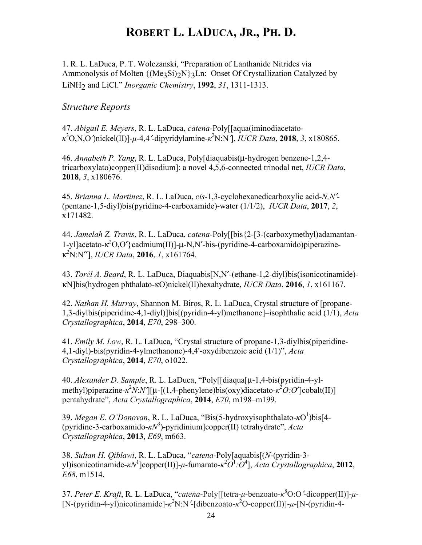1. R. L. LaDuca, P. T. Wolczanski, "Preparation of Lanthanide Nitrides via Ammonolysis of Molten  ${(Me<sub>3</sub>Si)_{2}N}$  2Ln: Onset Of Crystallization Catalyzed by LiNH2 and LiCl." *Inorganic Chemistry*, **1992**, *31*, 1311-1313.

### *Structure Reports*

47. *Abigail E. Meyers*, R. L. LaDuca, *catena*-Poly[[aqua(iminodiacetato*κ* 3 O,N,O′)nickel(II)]-*µ*-4,4′-dipyridylamine-*κ* 2 N:N′], *IUCR Data*, **2018**, *3*, x180865.

46. *Annabeth P. Yang*, R. L. LaDuca, Poly[diaquabis(µ-hydrogen benzene-1,2,4 tricarboxylato)copper(II)disodium]: a novel 4,5,6-connected trinodal net, *IUCR Data*, **2018**, *3*, x180676.

45. *Brianna L. Martinez*, R. L. LaDuca, *cis*-1,3-cyclohexanedicarboxylic acid-*N,N*′- (pentane-1,5-diyl)bis(pyridine-4-carboxamide)-water (1/1/2), *IUCR Data*, **2017**, *2*, x171482.

44. *Jamelah Z. Travis*, R. L. LaDuca, *catena*-Poly[[bis{2-[3-(carboxymethyl)adamantan-1-yl]acetato-κ<sup>2</sup>O,O'}cadmium(II)]-μ-N,N'-bis-(pyridine-4-carboxamido)piperazineκ2 N:N′′], *IUCR Data*, **2016**, *1*, x161764.

43. *Torél A. Beard*, R. L. LaDuca, Diaquabis[N,N′-(ethane-1,2-diyl)bis(isonicotinamide) κN]bis(hydrogen phthalato-κO)nickel(II)hexahydrate, *IUCR Data*, **2016**, *1*, x161167.

42. *Nathan H. Murray*, Shannon M. Biros, R. L. LaDuca, Crystal structure of [propane-1,3-diylbis(piperidine-4,1-diyl)]bis[(pyridin-4-yl)methanone]–isophthalic acid (1/1), *Acta Crystallographica*, **2014**, *E70*, 298–300.

41. *Emily M. Low*, R. L. LaDuca, "Crystal structure of propane-1,3-diylbis(piperidine-4,1-diyl)-bis(pyridin-4-ylmethanone)-4,4'-oxydibenzoic acid (1/1)", *Acta Crystallographica*, **2014**, *E70*, o1022.

40. *Alexander D. Sample*, R. L. LaDuca, "Poly[[diaqua[µ-1,4-bis(pyridin-4-ylmethyl)piperazine-*κ*<sup>2</sup>*N*:*N*'][μ-[(1,4-phenylene)bis(oxy)diacetato-*κ*<sup>2</sup>*O*:*O*']cobalt(II)] pentahydrate", *Acta Crystallographica*, **2014**, *E70*, m198–m199.

39. *Megan E. O'Donovan*, R. L. LaDuca, "Bis(5-hydroxyisophthalato-κO<sup>1</sup>)bis[4-(pyridine-3-carboxamido-*κN*<sup>3</sup> )-pyridinium]copper(II) tetrahydrate", *Acta Crystallographica*, **2013**, *E69*, m663.

38. *Sultan H. Qiblawi*, R. L. LaDuca, "*catena*-Poly[aquabis[(*N*-(pyridin-3 yl)isonicotinamide-*κN*<sup>1</sup> ]copper(II)]-*µ*-fumarato-*κ* 2 *O*1 *:O*<sup>4</sup> ], *Acta Crystallographica*, **2012**, *E68*, m1514.

37. *Peter E. Kraft*, R. L. LaDuca, "*catena*-Poly[[tetra-*µ*-benzoato-*κ* 8 O:O′-dicopper(II)]-*µ*- [N-(pyridin-4-yl)nicotinamide]- $\kappa^2$ N:N<sup>2</sup>[dibenzoato- $\kappa^2$ O-copper(II)]-μ-[N-(pyridin-4-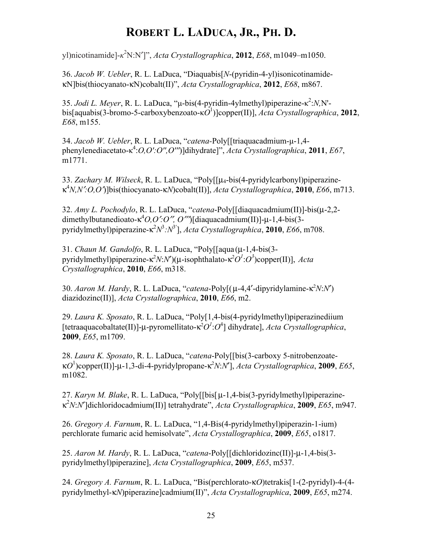yl)nicotinamide]-*κ* 2 N:N′]", *Acta Crystallographica*, **2012**, *E68*, m1049–m1050.

36. *Jacob W. Uebler*, R. L. LaDuca, "Diaquabis[*N*-(pyridin-4-yl)isonicotinamideκN]bis(thiocyanato-κN)cobalt(II)", *Acta Crystallographica*, **2012**, *E68*, m867.

35. *Jodi L. Meyer*, R. L. LaDuca, "µ-bis(4-pyridin-4ylmethyl)piperazine-κ 2 :*N,*N' bis[aquabis(3-bromo-5-carboxybenzoato-κ*O*<sup>1</sup> )]copper(II)], *Acta Crystallographica*, **2012**, *E68*, m155.

34. *Jacob W. Uebler*, R. L. LaDuca, "*catena-*Poly[[triaquacadmium-µ-1,4 phenylenediacetato-κ 4 :*O,O':O'',O'''*)]dihydrate]", *Acta Crystallographica*, **2011**, *E67*, m1771.

33. *Zachary M. Wilseck*, R. L. LaDuca, "Poly[[µ4-bis(4-pyridylcarbonyl)piperazineκ4 *N,N*′*:O,O*′)]bis(thiocyanato-κ*N*)cobalt(II)], *Acta Crystallographica*, **2010**, *E66*, m713.

32. *Amy L. Pochodylo*, R. L. LaDuca, "*catena*-Poly[[diaquacadmium(II)]-bis(µ-2,2 dimethylbutanedioato-κ<sup>4</sup> *O,O*′*:O*′′*, O*′′′)[diaquacadmium(II)]-µ-1,4-bis(3 pyridylmethyl)piperazine-κ<sup>2</sup> *N*3 *:N*<sup>3</sup>′ ], *Acta Crystallographica*, **2010**, *E66*, m708.

31. *Chaun M. Gandolfo*, R. L. LaDuca, "Poly[[aqua (µ-1,4-bis(3 pyridylmethyl)piperazine-κ<sup>2</sup>*N*:*N*')(μ-isophthalato-κ<sup>2</sup>*O*<sup>*1*</sup>:*O*<sup>3</sup>)copper(II)], *Acta Crystallographica*, **2010**, *E66*, m318.

30. *Aaron M. Hardy*, R. L. LaDuca, "*catena*-Poly[(μ-4,4'-dipyridylamine-κ<sup>2</sup>N:N') diazidozinc(II)], *Acta Crystallographica*, **2010**, *E66*, m2.

29. *Laura K. Sposato*, R. L. LaDuca, "Poly[1,4-bis(4-pyridylmethyl)piperazinediium [tetraaquacobaltate(II)]-μ-pyromellitato-κ<sup>2</sup>O<sup>*I*</sup>:O<sup>4</sup>] dihydrate], *Acta Crystallographica*, **2009**, *E65*, m1709.

28. *Laura K. Sposato*, R. L. LaDuca, "*catena*-Poly[[bis(3-carboxy 5-nitrobenzoateκ*O*<sup>1</sup> )copper(II)]-µ-1,3-di-4-pyridylpropane-κ<sup>2</sup> *N*:*N*′], *Acta Crystallographica*, **2009**, *E65*, m1082.

27. *Karyn M. Blake*, R. L. LaDuca, "Poly[[bis[ µ-1,4-bis(3-pyridylmethyl)piperazineκ2 *N*:*N*′]dichloridocadmium(II)] tetrahydrate", *Acta Crystallographica*, **2009**, *E65*, m947.

26. *Gregory A. Farnum*, R. L. LaDuca, "1,4-Bis(4-pyridylmethyl)piperazin-1-ium) perchlorate fumaric acid hemisolvate", *Acta Crystallographica*, **2009**, *E65*, o1817.

25. *Aaron M. Hardy*, R. L. LaDuca, "*catena*-Poly[[dichloridozinc(II)]-µ-1,4-bis(3 pyridylmethyl)piperazine], *Acta Crystallographica*, **2009**, *E65*, m537.

24. *Gregory A. Farnum*, R. L. LaDuca, "Bis(perchlorato-κ*O*)tetrakis[1-(2-pyridyl)-4-(4 pyridylmethyl-κ*N*)piperazine]cadmium(II)", *Acta Crystallographica*, **2009**, *E65*, m274.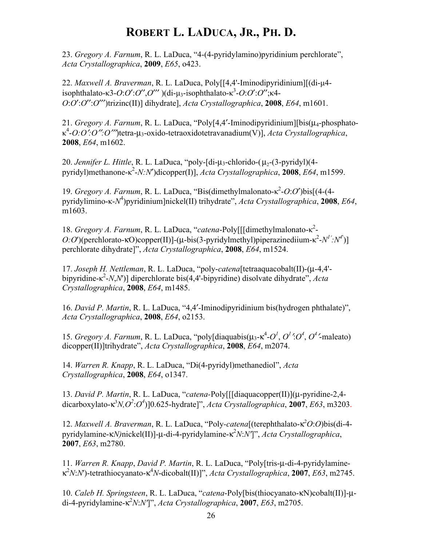23. *Gregory A. Farnum*, R. L. LaDuca, "4-(4-pyridylamino)pyridinium perchlorate", *Acta Crystallographica*, **2009**, *E65*, o423.

22. *Maxwell A. Braverman*, R. L. LaDuca, Poly[[4,4'-Iminodipyridinium][(di-µ4 isophthalato-κ3-*O*:*O*′:*O*′′,*O*′′′ )(di-µ3-isophthalato-κ<sup>3</sup> -*O*:*O*′:*O*′′;κ4- *O*:*O*′:*O*′′:*O*′′′)trizinc(II)] dihydrate], *Acta Crystallographica*, **2008**, *E64*, m1601.

21. *Gregory A. Farnum*, R. L. LaDuca, "Poly[4,4′-Iminodipyridinium][bis(µ4-phosphatoκ4 -*O:O*′*:O*′′*:O*′′′)tetra-µ3-oxido-tetraoxidotetravanadium(V)], *Acta Crystallographica*, **2008**, *E64*, m1602.

20. *Jennifer L. Hittle*, R. L. LaDuca, "poly-[di-µ<sub>3</sub>-chlorido-(µ<sub>2</sub>-(3-pyridyl)(4pyridyl)methanone-κ 2 -*N:N*′)dicopper(I)], *Acta Crystallographica*, **2008**, *E64*, m1599.

19. *Gregory A. Farnum*, R. L. LaDuca, "Bis(dimethylmalonato-κ<sup>2</sup>-O:O')bis[(4-(4pyridylimino-к-N<sup>4</sup>)pyridinium]nickel(II) trihydrate", *Acta Crystallographica*, **2008**, *E64*, m1603.

18. *Gregory A. Farnum*, R. L. LaDuca, "*catena*-Poly[[[dimethylmalonato-κ 2 - *O:O*')(perchlorato-κO)copper(II)]-(μ-bis(3-pyridylmethyl)piperazinediium-κ<sup>2</sup>-*N<sup>1</sup>'*:*N*<sup>4</sup>')] perchlorate dihydrate]", *Acta Crystallographica*, **2008**, *E64*, m1524.

17. *Joseph H. Nettleman*, R. L. LaDuca, "poly-*catena*[tetraaquacobalt(II)-(µ-4,4' bipyridine-κ 2 -*N*,*N*')] diperchlorate bis(4,4'-bipyridine) disolvate dihydrate", *Acta Crystallographica*, **2008**, *E64*, m1485.

16. *David P. Martin*, R. L. LaDuca, "4,4′-Iminodipyridinium bis(hydrogen phthalate)", *Acta Crystallographica*, **2008**, *E64*, o2153.

15. *Gregory A. Farnum*, R. L. LaDuca, "poly[diaquabis( $\mu_3$ - $\kappa^4$ - $O^1$ ,  $O^1$ : $O^4$ ,  $O^4$ -maleato) dicopper(II)]trihydrate", *Acta Crystallographica*, **2008**, *E64*, m2074.

14. *Warren R. Knapp*, R. L. LaDuca, "Di(4-pyridyl)methanediol", *Acta Crystallographica*, **2008**, *E64*, o1347.

13. *David P. Martin*, R. L. LaDuca, "*catena-*Poly[[[diaquacopper(II)](µ-pyridine-2,4 dicarboxylato-κ<sup>3</sup> *N,O<sup>2</sup>* :*O<sup>4</sup>* )]0.625-hydrate]", *Acta Crystallographica*, **2007**, *E63*, m3203.

12. *Maxwell A. Braverman*, R. L. LaDuca, "Poly-catena[(terephthalato-κ<sup>2</sup>O:O)bis(di-4pyridylamine-κ*N)*nickel(II)]-µ-di-4-pyridylamine-κ<sup>2</sup> *N*:*N'*]", *Acta Crystallographica*, **2007**, *E63*, m2780.

11. *Warren R. Knapp*, *David P. Martin*, R. L. LaDuca, "Poly[tris-µ-di-4-pyridylamineκ2 *N*:*N*')-tetrathiocyanato-κ<sup>4</sup> *N*-dicobalt(II)]", *Acta Crystallographica*, **2007**, *E63*, m2745.

10. *Caleb H. Springsteen*, R. L. LaDuca, "*catena*-Poly[bis(thiocyanato-κN)cobalt(II)]-µdi-4-pyridylamine-κ<sup>2</sup> *N*:*N'*]", *Acta Crystallographica*, **2007**, *E63*, m2705.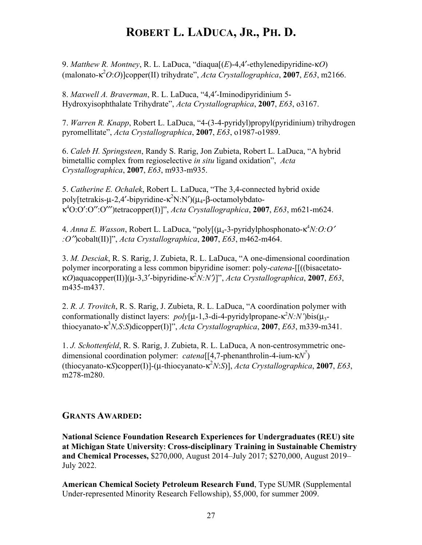9. *Matthew R. Montney*, R. L. LaDuca, "diaqua[(*E*)-4,4′-ethylenedipyridine-κ*O*) (malonato-κ<sup>2</sup> *O*:*O*)]copper(II) trihydrate", *Acta Crystallographica*, **2007**, *E63*, m2166.

8. *Maxwell A. Braverman*, R. L. LaDuca, "4,4′-Iminodipyridinium 5- Hydroxyisophthalate Trihydrate", *Acta Crystallographica*, **2007**, *E63*, o3167.

7. *Warren R. Knapp*, Robert L. LaDuca, "4-(3-4-pyridyl)propyl(pyridinium) trihydrogen pyromellitate", *Acta Crystallographica*, **2007**, *E63*, o1987-o1989.

6. *Caleb H. Springsteen*, Randy S. Rarig, Jon Zubieta, Robert L. LaDuca, "A hybrid bimetallic complex from regioselective *in situ* ligand oxidation", *Acta Crystallographica*, **2007**, *E63*, m933-m935.

5. *Catherine E. Ochalek*, Robert L. LaDuca, "The 3,4-connected hybrid oxide poly[tetrakis-μ-2,4'-bipyridine-κ<sup>2</sup>N:N')(μ<sub>4</sub>-β-octamolybdatoκ4 O:O′:O′′:O′′′)tetracopper(I)]", *Acta Crystallographica*, **2007**, *E63*, m621-m624.

4. *Anna E. Wasson*, Robert L. LaDuca, "poly[(μ<sub>4</sub>-3-pyridylphosphonato-κ<sup>4</sup>N:*O:O' :O*′′)cobalt(II)]", *Acta Crystallographica*, **2007**, *E63*, m462-m464.

3. *M. Desciak*, R. S. Rarig, J. Zubieta, R. L. LaDuca, "A one-dimensional coordination polymer incorporating a less common bipyridine isomer: poly-*catena*-[[((bisacetatoκ*O*)aquacopper(II)](µ-3,3′-bipyridine-κ<sup>2</sup> *N:N*′*)*]", *Acta Crystallographica*, **2007**, *E63*, m435-m437.

2. *R. J. Trovitch*, R. S. Rarig, J. Zubieta, R. L. LaDuca, "A coordination polymer with conformationally distinct layers: *poly*[μ-1,3-di-4-pyridylpropane-κ<sup>2</sup>N:N')bis(μ<sub>3</sub>thiocyanato-κ<sup>3</sup> *N,S*:*S*)dicopper(I)]", *Acta Crystallographica*, **2007**, *E63*, m339-m341.

1. *J. Schottenfeld*, R. S. Rarig, J. Zubieta, R. L. LaDuca, A non-centrosymmetric onedimensional coordination polymer: *catena*[[4,7-phenanthrolin-4-ium-κ*N7* ) (thiocyanato-κ*S*)copper(I)]-(µ-thiocyanato-κ<sup>2</sup> *N*:*S*)], *Acta Crystallographica*, **2007**, *E63*, m278-m280.

### **GRANTS AWARDED:**

**National Science Foundation Research Experiences for Undergraduates (REU) site at Michigan State University: Cross-disciplinary Training in Sustainable Chemistry and Chemical Processes,** \$270,000, August 2014–July 2017; \$270,000, August 2019– July 2022.

**American Chemical Society Petroleum Research Fund**, Type SUMR (Supplemental Under-represented Minority Research Fellowship), \$5,000, for summer 2009.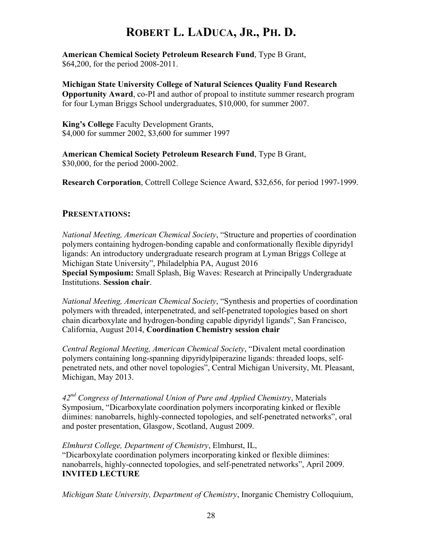**American Chemical Society Petroleum Research Fund**, Type B Grant, \$64,200, for the period 2008-2011.

**Michigan State University College of Natural Sciences Quality Fund Research Opportunity Award**, co-PI and author of propoal to institute summer research program for four Lyman Briggs School undergraduates, \$10,000, for summer 2007.

**King's College** Faculty Development Grants, \$4,000 for summer 2002, \$3,600 for summer 1997

**American Chemical Society Petroleum Research Fund**, Type B Grant, \$30,000, for the period 2000-2002.

**Research Corporation**, Cottrell College Science Award, \$32,656, for period 1997-1999.

### **PRESENTATIONS:**

*National Meeting, American Chemical Society*, "Structure and properties of coordination polymers containing hydrogen-bonding capable and conformationally flexible dipyridyl ligands: An introductory undergraduate research program at Lyman Briggs College at Michigan State University", Philadelphia PA, August 2016 **Special Symposium:** Small Splash, Big Waves: Research at Principally Undergraduate Institutions. **Session chair**.

*National Meeting, American Chemical Society*, "Synthesis and properties of coordination polymers with threaded, interpenetrated, and self-penetrated topologies based on short chain dicarboxylate and hydrogen-bonding capable dipyridyl ligands", San Francisco, California, August 2014, **Coordination Chemistry session chair**

*Central Regional Meeting, American Chemical Society*, "Divalent metal coordination polymers containing long-spanning dipyridylpiperazine ligands: threaded loops, selfpenetrated nets, and other novel topologies", Central Michigan University, Mt. Pleasant, Michigan, May 2013.

*42nd Congress of International Union of Pure and Applied Chemistry*, Materials Symposium, "Dicarboxylate coordination polymers incorporating kinked or flexible diimines: nanobarrels, highly-connected topologies, and self-penetrated networks", oral and poster presentation, Glasgow, Scotland, August 2009.

*Elmhurst College, Department of Chemistry*, Elmhurst, IL,

"Dicarboxylate coordination polymers incorporating kinked or flexible diimines: nanobarrels, highly-connected topologies, and self-penetrated networks", April 2009. **INVITED LECTURE**

*Michigan State University, Department of Chemistry*, Inorganic Chemistry Colloquium,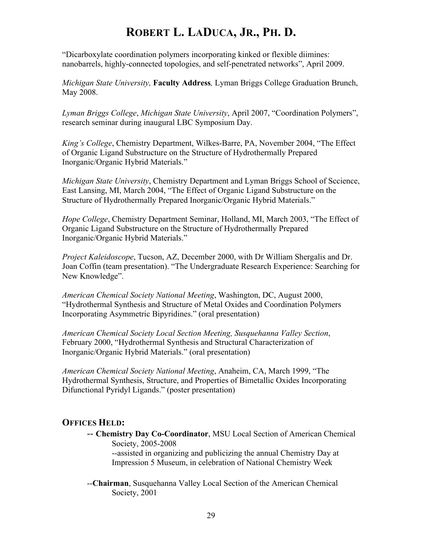"Dicarboxylate coordination polymers incorporating kinked or flexible diimines: nanobarrels, highly-connected topologies, and self-penetrated networks", April 2009.

*Michigan State University,* **Faculty Address***,* Lyman Briggs College Graduation Brunch, May 2008.

*Lyman Briggs College*, *Michigan State University*, April 2007, "Coordination Polymers", research seminar during inaugural LBC Symposium Day.

*King's College*, Chemistry Department, Wilkes-Barre, PA, November 2004, "The Effect of Organic Ligand Substructure on the Structure of Hydrothermally Prepared Inorganic/Organic Hybrid Materials."

*Michigan State University*, Chemistry Department and Lyman Briggs School of Sccience, East Lansing, MI, March 2004, "The Effect of Organic Ligand Substructure on the Structure of Hydrothermally Prepared Inorganic/Organic Hybrid Materials."

*Hope College*, Chemistry Department Seminar, Holland, MI, March 2003, "The Effect of Organic Ligand Substructure on the Structure of Hydrothermally Prepared Inorganic/Organic Hybrid Materials."

*Project Kaleidoscope*, Tucson, AZ, December 2000, with Dr William Shergalis and Dr. Joan Coffin (team presentation). "The Undergraduate Research Experience: Searching for New Knowledge".

*American Chemical Society National Meeting*, Washington, DC, August 2000, "Hydrothermal Synthesis and Structure of Metal Oxides and Coordination Polymers Incorporating Asymmetric Bipyridines." (oral presentation)

*American Chemical Society Local Section Meeting, Susquehanna Valley Section*, February 2000, "Hydrothermal Synthesis and Structural Characterization of Inorganic/Organic Hybrid Materials." (oral presentation)

*American Chemical Society National Meeting*, Anaheim, CA, March 1999, "The Hydrothermal Synthesis, Structure, and Properties of Bimetallic Oxides Incorporating Difunctional Pyridyl Ligands." (poster presentation)

### **OFFICES HELD:**

- -- **Chemistry Day Co-Coordinator**, MSU Local Section of American Chemical Society, 2005-2008 --assisted in organizing and publicizing the annual Chemistry Day at Impression 5 Museum, in celebration of National Chemistry Week
- --**Chairman**, Susquehanna Valley Local Section of the American Chemical Society, 2001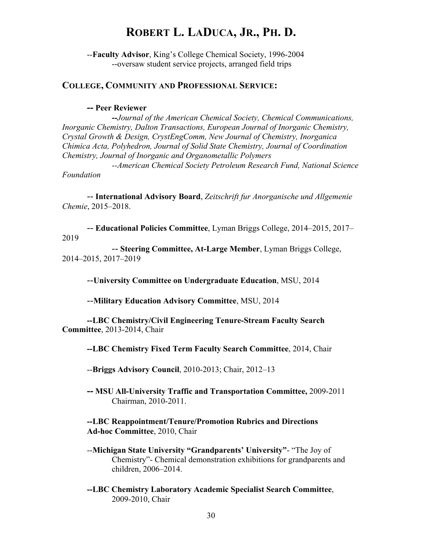--**Faculty Advisor**, King's College Chemical Society, 1996-2004 --oversaw student service projects, arranged field trips

#### **COLLEGE, COMMUNITY AND PROFESSIONAL SERVICE:**

#### **-- Peer Reviewer**

**--***Journal of the American Chemical Society, Chemical Communications, Inorganic Chemistry, Dalton Transactions, European Journal of Inorganic Chemistry, Crystal Growth & Design, CrystEngComm, New Journal of Chemistry, Inorganica Chimica Acta, Polyhedron, Journal of Solid State Chemistry, Journal of Coordination Chemistry, Journal of Inorganic and Organometallic Polymers --American Chemical Society Petroleum Research Fund, National Science* 

*Foundation*

-- **International Advisory Board**, *Zeitschrift fur Anorganische und Allgemenie Chemie*, 2015–2018.

-- **Educational Policies Committee**, Lyman Briggs College, 2014–2015, 2017– 2019

-- **Steering Committee, At-Large Member**, Lyman Briggs College, 2014–2015, 2017–2019

--**University Committee on Undergraduate Education**, MSU, 2014

--**Military Education Advisory Committee**, MSU, 2014

**--LBC Chemistry/Civil Engineering Tenure-Stream Faculty Search Committee**, 2013-2014, Chair

**--LBC Chemistry Fixed Term Faculty Search Committee**, 2014, Chair

--**Briggs Advisory Council**, 2010-2013; Chair, 2012–13

**-- MSU All-University Traffic and Transportation Committee,** 2009-2011 Chairman, 2010-2011.

**--LBC Reappointment/Tenure/Promotion Rubrics and Directions Ad-hoc Committee**, 2010, Chair

- --**Michigan State University "Grandparents' University"** "The Joy of Chemistry"- Chemical demonstration exhibitions for grandparents and children, 2006–2014.
- **--LBC Chemistry Laboratory Academic Specialist Search Committee**, 2009-2010, Chair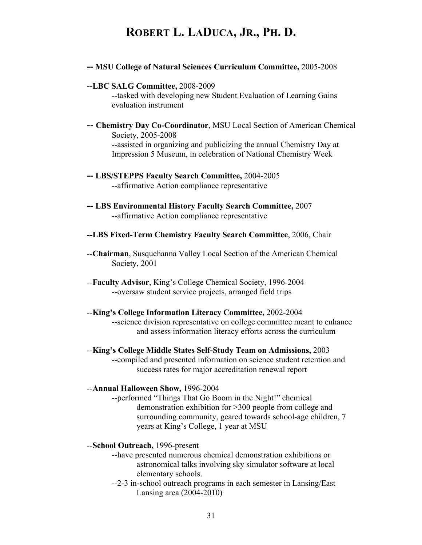**-- MSU College of Natural Sciences Curriculum Committee,** 2005-2008

#### **--LBC SALG Committee,** 2008-2009

--tasked with developing new Student Evaluation of Learning Gains evaluation instrument

- -- **Chemistry Day Co-Coordinator**, MSU Local Section of American Chemical Society, 2005-2008 --assisted in organizing and publicizing the annual Chemistry Day at Impression 5 Museum, in celebration of National Chemistry Week
- **-- LBS/STEPPS Faculty Search Committee,** 2004-2005 --affirmative Action compliance representative
- **-- LBS Environmental History Faculty Search Committee,** 2007 --affirmative Action compliance representative
- **--LBS Fixed-Term Chemistry Faculty Search Committee**, 2006, Chair
- --**Chairman**, Susquehanna Valley Local Section of the American Chemical Society, 2001
- --**Faculty Advisor**, King's College Chemical Society, 1996-2004 --oversaw student service projects, arranged field trips

#### --**King's College Information Literacy Committee,** 2002-2004

--science division representative on college committee meant to enhance and assess information literacy efforts across the curriculum

--**King's College Middle States Self-Study Team on Admissions,** 2003 --compiled and presented information on science student retention and success rates for major accreditation renewal report

#### --**Annual Halloween Show,** 1996-2004

--performed "Things That Go Boom in the Night!" chemical demonstration exhibition for >300 people from college and surrounding community, geared towards school-age children, 7 years at King's College, 1 year at MSU

#### --**School Outreach,** 1996-present

- --have presented numerous chemical demonstration exhibitions or astronomical talks involving sky simulator software at local elementary schools.
- --2-3 in-school outreach programs in each semester in Lansing/East Lansing area (2004-2010)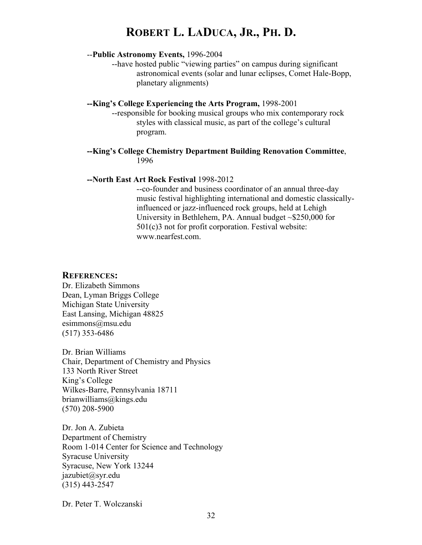#### --**Public Astronomy Events,** 1996-2004

--have hosted public "viewing parties" on campus during significant astronomical events (solar and lunar eclipses, Comet Hale-Bopp, planetary alignments)

#### **--King's College Experiencing the Arts Program,** 1998-2001

--responsible for booking musical groups who mix contemporary rock styles with classical music, as part of the college's cultural program.

#### **--King's College Chemistry Department Building Renovation Committee**, 1996

#### **--North East Art Rock Festival** 1998-2012

--co-founder and business coordinator of an annual three-day music festival highlighting international and domestic classicallyinfluenced or jazz-influenced rock groups, held at Lehigh University in Bethlehem, PA. Annual budget ~\$250,000 for 501(c)3 not for profit corporation. Festival website: www.nearfest.com

#### **REFERENCES:**

Dr. Elizabeth Simmons Dean, Lyman Briggs College Michigan State University East Lansing, Michigan 48825 esimmons@msu.edu (517) 353-6486

Dr. Brian Williams Chair, Department of Chemistry and Physics 133 North River Street King's College Wilkes-Barre, Pennsylvania 18711 brianwilliams@kings.edu (570) 208-5900

Dr. Jon A. Zubieta Department of Chemistry Room 1-014 Center for Science and Technology Syracuse University Syracuse, New York 13244 jazubiet@syr.edu (315) 443-2547

Dr. Peter T. Wolczanski